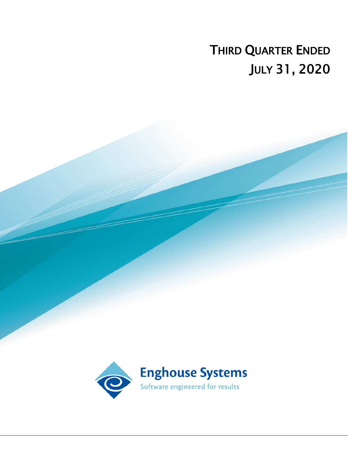# THIRD QUARTER ENDED JULY 31, 2020

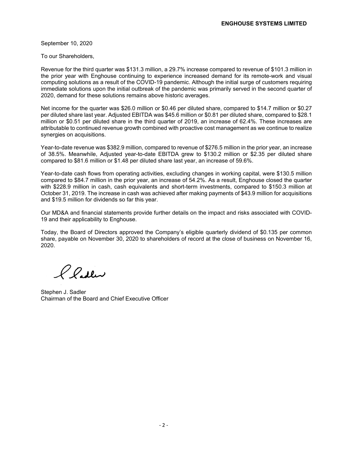September 10, 2020

To our Shareholders,

Revenue for the third quarter was \$131.3 million, a 29.7% increase compared to revenue of \$101.3 million in the prior year with Enghouse continuing to experience increased demand for its remote-work and visual computing solutions as a result of the COVID-19 pandemic. Although the initial surge of customers requiring immediate solutions upon the initial outbreak of the pandemic was primarily served in the second quarter of 2020, demand for these solutions remains above historic averages.

Net income for the quarter was \$26.0 million or \$0.46 per diluted share, compared to \$14.7 million or \$0.27 per diluted share last year. Adjusted EBITDA was \$45.6 million or \$0.81 per diluted share, compared to \$28.1 million or \$0.51 per diluted share in the third quarter of 2019, an increase of 62.4%. These increases are attributable to continued revenue growth combined with proactive cost management as we continue to realize synergies on acquisitions.

Year-to-date revenue was \$382.9 million, compared to revenue of \$276.5 million in the prior year, an increase of 38.5%. Meanwhile, Adjusted year-to-date EBITDA grew to \$130.2 million or \$2.35 per diluted share compared to \$81.6 million or \$1.48 per diluted share last year, an increase of 59.6%.

Year-to-date cash flows from operating activities, excluding changes in working capital, were \$130.5 million compared to \$84.7 million in the prior year, an increase of 54.2%. As a result, Enghouse closed the quarter with \$228.9 million in cash, cash equivalents and short-term investments, compared to \$150.3 million at October 31, 2019. The increase in cash was achieved after making payments of \$43.9 million for acquisitions and \$19.5 million for dividends so far this year.

Our MD&A and financial statements provide further details on the impact and risks associated with COVID-19 and their applicability to Enghouse.

Today, the Board of Directors approved the Company's eligible quarterly dividend of \$0.135 per common share, payable on November 30, 2020 to shareholders of record at the close of business on November 16, 2020.

Pladler

Stephen J. Sadler Chairman of the Board and Chief Executive Officer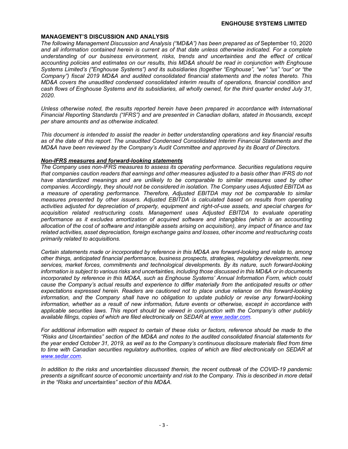#### **MANAGEMENT'S DISCUSSION AND ANALYSIS**

*The following Management Discussion and Analysis ("MD&A") has been prepared as of* September 10, 2020 *and all information contained herein is current as of that date unless otherwise indicated. For a complete understanding of our business environment, risks, trends and uncertainties and the effect of critical accounting policies and estimates on our results, this MD&A should be read in conjunction with Enghouse Systems Limited's ("Enghouse Systems") and its subsidiaries (together "Enghouse", "we" "us" "our" or "the Company") fiscal 2019 MD&A and audited consolidated financial statements and the notes thereto. This MD&A covers the unaudited condensed consolidated interim results of operations, financial condition and cash flows of Enghouse Systems and its subsidiaries, all wholly owned, for the third quarter ended July 31, 2020.*

*Unless otherwise noted, the results reported herein have been prepared in accordance with International Financial Reporting Standards ("IFRS") and are presented in Canadian dollars, stated in thousands, except per share amounts and as otherwise indicated.*

*This document is intended to assist the reader in better understanding operations and key financial results as of the date of this report. The unaudited Condensed Consolidated Interim Financial Statements and the MD&A have been reviewed by the Company's Audit Committee and approved by its Board of Directors.* 

#### *Non-IFRS measures and forward-looking statements*

*The Company uses non-IFRS measures to assess its operating performance. Securities regulations require that companies caution readers that earnings and other measures adjusted to a basis other than IFRS do not have standardized meanings and are unlikely to be comparable to similar measures used by other companies. Accordingly, they should not be considered in isolation. The Company uses Adjusted EBITDA as a measure of operating performance. Therefore, Adjusted EBITDA may not be comparable to similar measures presented by other issuers. Adjusted EBITDA is calculated based on results from operating activities adjusted for depreciation of property, equipment and right-of-use assets, and special charges for acquisition related restructuring costs. Management uses Adjusted EBITDA to evaluate operating performance as it excludes amortization of acquired software and intangibles (which is an accounting allocation of the cost of software and intangible assets arising on acquisition), any impact of finance and tax related activities, asset depreciation, foreign exchange gains and losses, other income and restructuring costs primarily related to acquisitions.*

*Certain statements made or incorporated by reference in this MD&A are forward-looking and relate to, among other things, anticipated financial performance, business prospects, strategies, regulatory developments, new services, market forces, commitments and technological developments. By its nature, such forward-looking information is subject to various risks and uncertainties, including those discussed in this MD&A or in documents incorporated by reference in this MD&A, such as Enghouse Systems' Annual Information Form, which could cause the Company's actual results and experience to differ materially from the anticipated results or other expectations expressed herein. Readers are cautioned not to place undue reliance on this forward-looking information, and the Company shall have no obligation to update publicly or revise any forward-looking information, whether as a result of new information, future events or otherwise, except in accordance with applicable securities laws. This report should be viewed in conjunction with the Company's other publicly available filings, copies of which are filed electronically on SEDAR at www.sedar.com.*

*For additional information with respect to certain of these risks or factors, reference should be made to the "Risks and Uncertainties" section of the MD&A and notes to the audited consolidated financial statements for the year ended October 31, 2019, as well as to the Company's continuous disclosure materials filed from time to time with Canadian securities regulatory authorities, copies of which are filed electronically on SEDAR at www.sedar.com.*

*In addition to the risks and uncertainties discussed therein, the recent outbreak of the COVID-19 pandemic presents a significant source of economic uncertainty and risk to the Company. This is described in more detail in the "Risks and uncertainties" section of this MD&A.*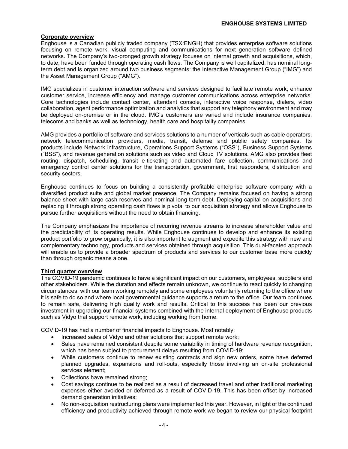### **Corporate overview**

Enghouse is a Canadian publicly traded company (TSX:ENGH) that provides enterprise software solutions focusing on remote work, visual computing and communications for next generation software defined networks. The Company's two-pronged growth strategy focuses on internal growth and acquisitions, which, to date, have been funded through operating cash flows. The Company is well capitalized, has nominal longterm debt and is organized around two business segments: the Interactive Management Group ("IMG") and the Asset Management Group ("AMG").

IMG specializes in customer interaction software and services designed to facilitate remote work, enhance customer service, increase efficiency and manage customer communications across enterprise networks. Core technologies include contact center, attendant console, interactive voice response, dialers, video collaboration, agent performance optimization and analytics that support any telephony environment and may be deployed on-premise or in the cloud. IMG's customers are varied and include insurance companies, telecoms and banks as well as technology, health care and hospitality companies.

AMG provides a portfolio of software and services solutions to a number of verticals such as cable operators, network telecommunication providers, media, transit, defense and public safety companies. Its products include Network infrastructure, Operations Support Systems ("OSS"), Business Support Systems ("BSS"), and revenue generation solutions such as video and Cloud TV solutions. AMG also provides fleet routing, dispatch, scheduling, transit e-ticketing and automated fare collection, communications and emergency control center solutions for the transportation, government, first responders, distribution and security sectors.

Enghouse continues to focus on building a consistently profitable enterprise software company with a diversified product suite and global market presence. The Company remains focused on having a strong balance sheet with large cash reserves and nominal long-term debt. Deploying capital on acquisitions and replacing it through strong operating cash flows is pivotal to our acquisition strategy and allows Enghouse to pursue further acquisitions without the need to obtain financing.

The Company emphasizes the importance of recurring revenue streams to increase shareholder value and the predictability of its operating results. While Enghouse continues to develop and enhance its existing product portfolio to grow organically, it is also important to augment and expedite this strategy with new and complementary technology, products and services obtained through acquisition. This dual-faceted approach will enable us to provide a broader spectrum of products and services to our customer base more quickly than through organic means alone.

### **Third quarter overview**

The COVID-19 pandemic continues to have a significant impact on our customers, employees, suppliers and other stakeholders. While the duration and effects remain unknown, we continue to react quickly to changing circumstances, with our team working remotely and some employees voluntarily returning to the office where it is safe to do so and where local governmental guidance supports a return to the office. Our team continues to remain safe, delivering high quality work and results. Critical to this success has been our previous investment in upgrading our financial systems combined with the internal deployment of Enghouse products such as Vidyo that support remote work, including working from home.

COVID-19 has had a number of financial impacts to Enghouse. Most notably:

- Increased sales of Vidyo and other solutions that support remote work;
- Sales have remained consistent despite some variability in timing of hardware revenue recognition, which has been subject to procurement delays resulting from COVID-19;
- While customers continue to renew existing contracts and sign new orders, some have deferred planned upgrades, expansions and roll-outs, especially those involving an on-site professional services element;
- Collections have remained strong;
- Cost savings continue to be realized as a result of decreased travel and other traditional marketing expenses either avoided or deferred as a result of COVID-19. This has been offset by increased demand generation initiatives;
- No non-acquisition restructuring plans were implemented this year. However, in light of the continued efficiency and productivity achieved through remote work we began to review our physical footprint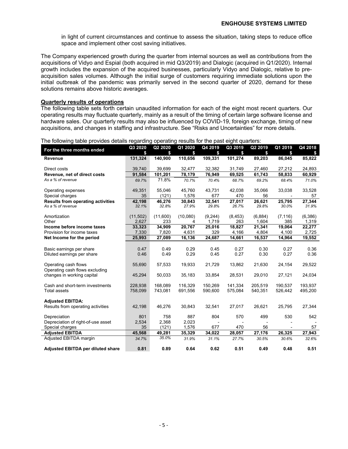in light of current circumstances and continue to assess the situation, taking steps to reduce office space and implement other cost saving initiatives.

The Company experienced growth during the quarter from internal sources as well as contributions from the acquisitions of Vidyo and Espial (both acquired in mid Q3/2019) and Dialogic (acquired in Q1/2020). Internal growth includes the expansion of the acquired businesses, particularly Vidyo and Dialogic, relative to preacquisition sales volumes. Although the initial surge of customers requiring immediate solutions upon the initial outbreak of the pandemic was primarily served in the second quarter of 2020, demand for these solutions remains above historic averages.

### **Quarterly results of operations**

The following table sets forth certain unaudited information for each of the eight most recent quarters. Our operating results may fluctuate quarterly, mainly as a result of the timing of certain large software license and hardware sales. Our quarterly results may also be influenced by COVID-19, foreign exchange, timing of new acquisitions, and changes in staffing and infrastructure. See "Risks and Uncertainties" for more details.

| For the three months ended               | Q3 2020  | Q2 2020  | Q1 2020  | Q4 2019  | Q3 2019  | Q <sub>2</sub> 2019 | Q1 2019        | Q4 2018 |
|------------------------------------------|----------|----------|----------|----------|----------|---------------------|----------------|---------|
|                                          | \$       | \$       | \$       | \$       | \$       | \$                  | \$             | s       |
| Revenue                                  | 131,324  | 140,900  | 110,656  | 109,331  | 101,274  | 89,203              | 86,045         | 85,822  |
|                                          |          |          |          |          |          |                     |                |         |
| Direct costs                             | 39,740   | 39,699   | 32,477   | 32,382   | 31,749   | 27,460              | 27,212         | 24,893  |
| Revenue, net of direct costs             | 91,584   | 101,201  | 78,179   | 76,949   | 69,525   | 61,743              | 58,833         | 60,929  |
| As a % of revenue                        | 69.7%    | 71.8%    | 70.7%    | 70.4%    | 68.7%    | 69.2%               | 68.4%          | 71.0%   |
| Operating expenses                       | 49,351   | 55.046   | 45,760   | 43,731   | 42,038   | 35,066              | 33,038         | 33,528  |
| Special charges                          | 35       | (121)    | 1,576    | 677      | 470      | 56                  | $\blacksquare$ | 57      |
| <b>Results from operating activities</b> | 42,198   | 46,276   | 30,843   | 32,541   | 27,017   | 26,621              | 25,795         | 27,344  |
| As a % of revenue                        | 32.1%    | 32.8%    | 27.9%    | 29.8%    | 26.7%    | 29.8%               | 30.0%          | 31.9%   |
| Amortization                             | (11,502) | (11,600) | (10,080) | (9, 244) | (8, 453) | (6,884)             | (7, 116)       | (6,386) |
| Other                                    | 2,627    | 233      | 4        | 1,719    | 263      | 1,604               | 385            | 1,319   |
| Income before income taxes               | 33,323   | 34,909   | 20,767   | 25,016   | 18,827   | 21,341              | 19,064         | 22,277  |
| Provision for income taxes               | 7,330    | 7,820    | 4,631    | 329      | 4,166    | 4,804               | 4,100          | 2.725   |
| Net Income for the period                | 25,993   | 27,089   | 16,136   | 24,687   | 14,661   | 16,537              | 14,964         | 19,552  |
|                                          |          |          |          |          |          |                     |                |         |
| Basic earnings per share                 | 0.47     | 0.49     | 0.29     | 0.45     | 0.27     | 0.30                | 0.27           | 0.36    |
| Diluted earnings per share               | 0.46     | 0.49     | 0.29     | 0.45     | 0.27     | 0.30                | 0.27           | 0.36    |
|                                          |          |          |          |          |          |                     |                |         |
| Operating cash flows                     | 55,690   | 57,533   | 19,933   | 21,729   | 13,862   | 21,630              | 24,154         | 29,522  |
| Operating cash flows excluding           |          |          |          |          |          |                     |                |         |
| changes in working capital               | 45,294   | 50,033   | 35,183   | 33,854   | 28,531   | 29,010              | 27,121         | 24,034  |
| Cash and short-term investments          | 228,938  | 168,089  | 116,329  | 150,269  | 141,334  | 205,519             | 190,537        | 193,937 |
| <b>Total assets</b>                      | 758,099  | 743,081  | 691,556  | 590,600  | 575,084  | 540,351             | 526,442        | 495,200 |
|                                          |          |          |          |          |          |                     |                |         |
| <b>Adjusted EBITDA:</b>                  |          |          |          |          |          |                     |                |         |
| Results from operating activities        | 42,198   | 46,276   | 30,843   | 32,541   | 27,017   | 26,621              | 25,795         | 27,344  |
| Depreciation                             | 801      | 758      | 887      | 804      | 570      | 499                 | 530            | 542     |
| Depreciation of right-of-use asset       | 2,534    | 2,368    | 2,023    |          |          |                     |                |         |
| Special charges                          | 35       | (121)    | 1,576    | 677      | 470      | 56                  |                | 57      |
| <b>Adjusted EBITDA</b>                   | 45,568   | 49,281   | 35,329   | 34,022   | 28,057   | 27,176              | 26,325         | 27,943  |
| Adjusted EBITDA margin                   | 34.7%    | 35.0%    | 31.9%    | 31.1%    | 27.7%    | 30.5%               | 30.6%          | 32.6%   |
| Adjusted EBITDA per diluted share        | 0.81     | 0.89     | 0.64     | 0.62     | 0.51     | 0.49                | 0.48           | 0.51    |
|                                          |          |          |          |          |          |                     |                |         |

The following table provides details regarding operating results for the past eight quarters: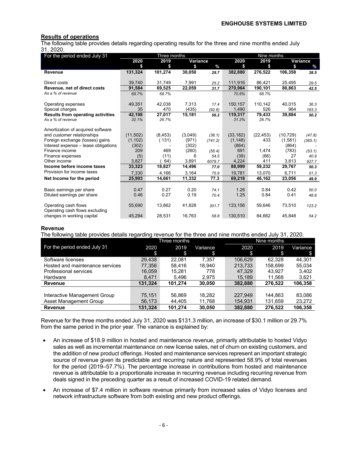### **Results of operations**

The following table provides details regarding operating results for the three and nine months ended July 31, 2020.

| For the period ended July 31             |              | Three months |          |               | Nine months |             |             |          |
|------------------------------------------|--------------|--------------|----------|---------------|-------------|-------------|-------------|----------|
|                                          | 2020         | 2019         | Variance |               | 2020        | 2019        |             | Variance |
|                                          |              | \$           | \$       | $\frac{0}{0}$ | \$          | \$          | \$          | $\%$     |
| Revenue                                  | 131,324      | 101,274      | 30,050   | 29.7          | 382,880     | 276,522     | 106,358     | 38.5     |
|                                          |              |              |          |               |             |             |             |          |
| Direct costs                             | 39,740       | 31,749       | 7,991    | 25.2          | 111,916     | 86,421      | 25,495      | 29.5     |
| Revenue, net of direct costs             | 91,584       | 69,525       | 22,059   | 31.7          | 270,964     | 190,101     | 80,863      | 42.5     |
| As a % of revenue                        | 69.7%        | 68.7%        |          |               | 70.8%       | 68.7%       |             |          |
|                                          |              |              |          |               |             |             |             |          |
| Operating expenses                       | 49,351       | 42,038       | 7,313    | 17.4          | 150,157     | 110,142     | 40,015      | 36.3     |
| Special charges                          | 35           | 470          | (435)    | (92.6)        | 1,490       | 526         | 964         | 183.3    |
| <b>Results from operating activities</b> | 42,198       | 27,017       | 15,181   | 56.2          | 119,317     | 79,433      | 39,884      | 50.2     |
| As a % of revenue                        | 32.1%        | 26.7%        |          |               | 31.2%       | 28.7%       |             |          |
|                                          |              |              |          |               |             |             |             |          |
| Amortization of acquired software        |              |              |          |               |             |             |             |          |
| and customer relationships               | (11, 502)    | (8, 453)     | (3,049)  | (36.1)        | (33, 182)   | (22, 453)   | (10, 729)   | (47.8)   |
| Foreign exchange (losses) gains          | (1, 102)     | (131)        | (971)    | (741.2)       | (1, 148)    | 433         | (1,581)     | (365.1)  |
| Interest expense - lease obligations     | (302)        |              | (302)    |               | (864)       |             | (864)       |          |
| Finance income                           | 209          | 469          | (260)    | (55.4)        | 691         | 1,474       | (783)       | (53.1)   |
| Finance expenses<br>Other income         | (5)<br>3,827 | (11)<br>64)  | 6        | 54.5          | (39)        | (66)<br>411 | 27<br>3,813 | 40.9     |
| Income before income taxes               |              |              | 3,891    | 6079.7        | 4,224       |             |             | 927.7    |
| Provision for income taxes               | 33,323       | 18,827       | 14,496   | 77.0          | 88,999      | 59,232      | 29,767      | 50.3     |
|                                          | 7,330        | 4,166        | 3,164    | 75.9          | 19,781      | 13,070      | 6,711       | 51.3     |
| Net Income for the period                | 25,993       | 14,661       | 11,332   | 77.3          | 69,218      | 46,162      | 23,056      | 49.9     |
|                                          |              |              |          |               |             |             |             |          |
| Basic earnings per share                 | 0.47         | 0.27         | 0.20     | 74.1          | 1.26        | 0.84        | 0.42        | 50.0     |
| Diluted earnings per share               | 0.46         | 0.27         | 0.19     | 70.4          | 1.25        | 0.84        | 0.41        | 48.8     |
|                                          |              |              |          |               |             |             |             |          |
| Operating cash flows                     | 55,690       | 13,862       | 41,828   | 301.7         | 133,156     | 59,646      | 73,510      | 123.2    |
| Operating cash flows excluding           |              |              |          |               |             |             |             |          |
| changes in working capital               | 45,294       | 28,531       | 16,763   | 58.8          | 130,510     | 84,662      | 45,848      | 54.2     |

#### **Revenue**

| The following table provides details regarding revenue for the three and nine months ended July 31, 2020. |         |              |          |         |             |          |  |
|-----------------------------------------------------------------------------------------------------------|---------|--------------|----------|---------|-------------|----------|--|
|                                                                                                           |         | Three months |          |         | Nine months |          |  |
| For the period ended July 31                                                                              | 2020    | 2019         | Variance | 2020    | 2019        | Variance |  |
|                                                                                                           | \$      | \$.          | S        | S       | S           | \$.      |  |
| Software licenses                                                                                         | 29.438  | 22.081       | 7.357    | 106.629 | 62.328      | 44.301   |  |
| Hosted and maintenance services                                                                           | 77,356  | 58.416       | 18.940   | 213.733 | 158.699     | 55.034   |  |
| Professional services                                                                                     | 16,059  | 15.281       | 778      | 47.329  | 43.927      | 3,402    |  |
| Hardware                                                                                                  | 8.471   | 5.496        | 2.975    | 15,189  | 11.568      | 3,621    |  |
| Revenue                                                                                                   | 131,324 | 101,274      | 30,050   | 382,880 | 276,522     | 106,358  |  |
|                                                                                                           |         |              |          |         |             |          |  |
| Interactive Management Group                                                                              | 75.151  | 56,869       | 18,282   | 227,949 | 144.863     | 83,086   |  |
| Asset Management Group                                                                                    | 56.173  | 44.405       | 11,768   | 154.931 | 131.659     | 23.272   |  |
| <b>Revenue</b>                                                                                            | 131.324 | 101.274      | 30.050   | 382.880 | 276.522     | 106.358  |  |

Revenue for the three months ended July 31, 2020 was \$131.3 million, an increase of \$30.1 million or 29.7% from the same period in the prior year. The variance is explained by:

- An increase of \$18.9 million in hosted and maintenance revenue, primarily attributable to hosted Vidyo sales as well as incremental maintenance on new license sales, net of churn on existing customers, and the addition of new product offerings. Hosted and maintenance services represent an important strategic source of revenue given its predictable and recurring nature and represented 58.9% of total revenues for the period (2019–57.7%). The percentage increase in contributions from hosted and maintenance revenue is attributable to a proportionate increase in recurring revenue including recurring revenue from deals signed in the preceding quarter as a result of increased COVID-19 related demand.
- An increase of \$7.4 million in software revenue primarily from increased sales of Vidyo licenses and network infrastructure software from both existing and new product offerings.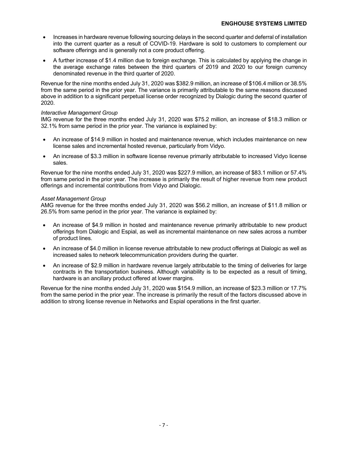- Increases in hardware revenue following sourcing delays in the second quarter and deferral of installation into the current quarter as a result of COVID-19. Hardware is sold to customers to complement our software offerings and is generally not a core product offering.
- A further increase of \$1.4 million due to foreign exchange. This is calculated by applying the change in the average exchange rates between the third quarters of 2019 and 2020 to our foreign currency denominated revenue in the third quarter of 2020.

Revenue for the nine months ended July 31, 2020 was \$382.9 million, an increase of \$106.4 million or 38.5% from the same period in the prior year. The variance is primarily attributable to the same reasons discussed above in addition to a significant perpetual license order recognized by Dialogic during the second quarter of 2020.

### *Interactive Management Group*

IMG revenue for the three months ended July 31, 2020 was \$75.2 million, an increase of \$18.3 million or 32.1% from same period in the prior year. The variance is explained by:

- An increase of \$14.9 million in hosted and maintenance revenue, which includes maintenance on new license sales and incremental hosted revenue, particularly from Vidyo.
- An increase of \$3.3 million in software license revenue primarily attributable to increased Vidyo license sales.

Revenue for the nine months ended July 31, 2020 was \$227.9 million, an increase of \$83.1 million or 57.4% from same period in the prior year. The increase is primarily the result of higher revenue from new product offerings and incremental contributions from Vidyo and Dialogic.

### *Asset Management Group*

AMG revenue for the three months ended July 31, 2020 was \$56.2 million, an increase of \$11.8 million or 26.5% from same period in the prior year. The variance is explained by:

- An increase of \$4.9 million in hosted and maintenance revenue primarily attributable to new product offerings from Dialogic and Espial, as well as incremental maintenance on new sales across a number of product lines.
- An increase of \$4.0 million in license revenue attributable to new product offerings at Dialogic as well as increased sales to network telecommunication providers during the quarter.
- An increase of \$2.9 million in hardware revenue largely attributable to the timing of deliveries for large contracts in the transportation business. Although variability is to be expected as a result of timing, hardware is an ancillary product offered at lower margins.

Revenue for the nine months ended July 31, 2020 was \$154.9 million, an increase of \$23.3 million or 17.7% from the same period in the prior year. The increase is primarily the result of the factors discussed above in addition to strong license revenue in Networks and Espial operations in the first quarter.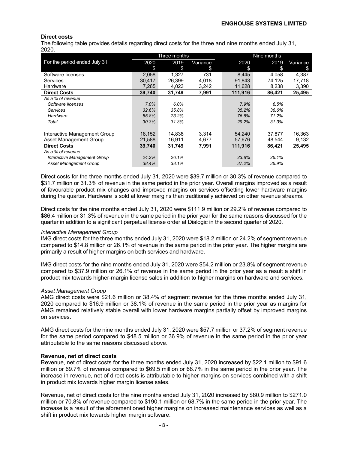### **Direct costs**

The following table provides details regarding direct costs for the three and nine months ended July 31, 2020.

|                               |        | Three months |          |         | Nine months |          |
|-------------------------------|--------|--------------|----------|---------|-------------|----------|
| For the period ended July 31  | 2020   | 2019         | Variance | 2020    | 2019        | Variance |
|                               | \$     | \$           | \$       | \$      | \$          | \$       |
| Software licenses             | 2.058  | 1.327        | 731      | 8.445   | 4.058       | 4.387    |
| Services                      | 30.417 | 26.399       | 4.018    | 91,843  | 74.125      | 17,718   |
| Hardware                      | 7.265  | 4,023        | 3,242    | 11.628  | 8.238       | 3,390    |
| <b>Direct Costs</b>           | 39,740 | 31,749       | 7,991    | 111.916 | 86,421      | 25,495   |
| As a % of revenue             |        |              |          |         |             |          |
| Software licenses             | 7.0%   | 6.0%         |          | 7.9%    | 6.5%        |          |
| <b>Services</b>               | 32.6%  | 35.8%        |          | 35.2%   | 36.6%       |          |
| Hardware                      | 85.8%  | 73.2%        |          | 76.6%   | 71.2%       |          |
| Total                         | 30.3%  | 31.3%        |          | 29.2%   | 31.3%       |          |
|                               |        |              |          |         |             |          |
| Interactive Management Group  | 18,152 | 14.838       | 3,314    | 54,240  | 37.877      | 16,363   |
| Asset Management Group        | 21,588 | 16,911       | 4,677    | 57,676  | 48.544      | 9,132    |
| <b>Direct Costs</b>           | 39.740 | 31,749       | 7,991    | 111.916 | 86,421      | 25,495   |
| As a % of revenue             |        |              |          |         |             |          |
| Interactive Management Group  | 24.2%  | 26.1%        |          | 23.8%   | 26.1%       |          |
| <b>Asset Management Group</b> | 38.4%  | 38.1%        |          | 37.2%   | 36.9%       |          |

Direct costs for the three months ended July 31, 2020 were \$39.7 million or 30.3% of revenue compared to \$31.7 million or 31.3% of revenue in the same period in the prior year. Overall margins improved as a result of favourable product mix changes and improved margins on services offsetting lower hardware margins during the quarter. Hardware is sold at lower margins than traditionally achieved on other revenue streams.

Direct costs for the nine months ended July 31, 2020 were \$111.9 million or 29.2% of revenue compared to \$86.4 million or 31.3% of revenue in the same period in the prior year for the same reasons discussed for the quarter in addition to a significant perpetual license order at Dialogic in the second quarter of 2020.

#### *Interactive Management Group*

IMG direct costs for the three months ended July 31, 2020 were \$18.2 million or 24.2% of segment revenue compared to \$14.8 million or 26.1% of revenue in the same period in the prior year. The higher margins are primarily a result of higher margins on both services and hardware.

IMG direct costs for the nine months ended July 31, 2020 were \$54.2 million or 23.8% of segment revenue compared to \$37.9 million or 26.1% of revenue in the same period in the prior year as a result a shift in product mix towards higher-margin license sales in addition to higher margins on hardware and services.

### *Asset Management Group*

AMG direct costs were \$21.6 million or 38.4% of segment revenue for the three months ended July 31, 2020 compared to \$16.9 million or 38.1% of revenue in the same period in the prior year as margins for AMG remained relatively stable overall with lower hardware margins partially offset by improved margins on services.

AMG direct costs for the nine months ended July 31, 2020 were \$57.7 million or 37.2% of segment revenue for the same period compared to \$48.5 million or 36.9% of revenue in the same period in the prior year attributable to the same reasons discussed above.

### **Revenue, net of direct costs**

Revenue, net of direct costs for the three months ended July 31, 2020 increased by \$22.1 million to \$91.6 million or 69.7% of revenue compared to \$69.5 million or 68.7% in the same period in the prior year. The increase in revenue, net of direct costs is attributable to higher margins on services combined with a shift in product mix towards higher margin license sales.

Revenue, net of direct costs for the nine months ended July 31, 2020 increased by \$80.9 million to \$271.0 million or 70.8% of revenue compared to \$190.1 million or 68.7% in the same period in the prior year. The increase is a result of the aforementioned higher margins on increased maintenance services as well as a shift in product mix towards higher margin software.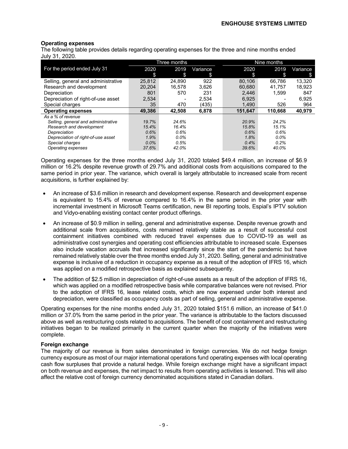### **Operating expenses**

The following table provides details regarding operating expenses for the three and nine months ended July 31, 2020.

|                                     |         | Three months |          |         | Nine months |          |
|-------------------------------------|---------|--------------|----------|---------|-------------|----------|
| For the period ended July 31        | 2020    | 2019         | Variance | 2020    | 2019        | Variance |
|                                     | \$      | \$           | \$       | \$      | S           | S        |
| Selling, general and administrative | 25,812  | 24,890       | 922      | 80,106  | 66,786      | 13,320   |
| Research and development            | 20.204  | 16.578       | 3.626    | 60.680  | 41.757      | 18.923   |
| Depreciation                        | 801     | 570          | 231      | 2.446   | 1,599       | 847      |
| Depreciation of right-of-use asset  | 2,534   |              | 2,534    | 6,925   |             | 6,925    |
| Special charges                     | 35      | 470          | (435)    | 1.490   | 526         | 964      |
| <b>Operating expenses</b>           | 49.386  | 42.508       | 6,878    | 151,647 | 110.668     | 40,979   |
| As a % of revenue                   |         |              |          |         |             |          |
| Selling, general and administrative | 19.7%   | 24.6%        |          | 20.9%   | 24.2%       |          |
| Research and development            | 15.4%   | 16.4%        |          | 15.8%   | 15.1%       |          |
| Depreciation                        | 0.6%    | 0.6%         |          | 0.6%    | 0.6%        |          |
| Depreciation of right-of-use asset  | 1.9%    | $0.0\%$      |          | 1.8%    | $0.0\%$     |          |
| Special charges                     | $0.0\%$ | 0.5%         |          | 0.4%    | 0.2%        |          |
| Operating expenses                  | 37.6%   | 42.0%        |          | 39.6%   | 40.0%       |          |

Operating expenses for the three months ended July 31, 2020 totaled \$49.4 million, an increase of \$6.9 million or 16.2% despite revenue growth of 29.7% and additional costs from acquisitions compared to the same period in prior year. The variance, which overall is largely attributable to increased scale from recent acquisitions, is further explained by:

- An increase of \$3.6 million in research and development expense. Research and development expense is equivalent to 15.4% of revenue compared to 16.4% in the same period in the prior year with incremental investment in Microsoft Teams certification, new BI reporting tools, Espial's IPTV solution and Vidyo-enabling existing contact center product offerings.
- An increase of \$0.9 million in selling, general and administrative expense. Despite revenue growth and additional scale from acquisitions, costs remained relatively stable as a result of successful cost containment initiatives combined with reduced travel expenses due to COVID-19 as well as administrative cost synergies and operating cost efficiencies attributable to increased scale. Expenses also include vacation accruals that increased significantly since the start of the pandemic but have remained relatively stable over the three months ended July 31, 2020. Selling, general and administrative expense is inclusive of a reduction in occupancy expense as a result of the adoption of IFRS 16, which was applied on a modified retrospective basis as explained subsequently.
- The addition of \$2.5 million in depreciation of right-of-use assets as a result of the adoption of IFRS 16, which was applied on a modified retrospective basis while comparative balances were not revised. Prior to the adoption of IFRS 16, lease related costs, which are now expensed under both interest and depreciation, were classified as occupancy costs as part of selling, general and administrative expense.

Operating expenses for the nine months ended July 31, 2020 totaled \$151.6 million, an increase of \$41.0 million or 37.0% from the same period in the prior year. The variance is attributable to the factors discussed above as well as restructuring costs related to acquisitions. The benefit of cost containment and restructuring initiatives began to be realized primarily in the current quarter when the majority of the initiatives were complete.

### **Foreign exchange**

The majority of our revenue is from sales denominated in foreign currencies. We do not hedge foreign currency exposure as most of our major international operations fund operating expenses with local operating cash flow surpluses that provide a natural hedge. While foreign exchange might have a significant impact on both revenue and expenses, the net impact to results from operating activities is lessened. This will also affect the relative cost of foreign currency denominated acquisitions stated in Canadian dollars.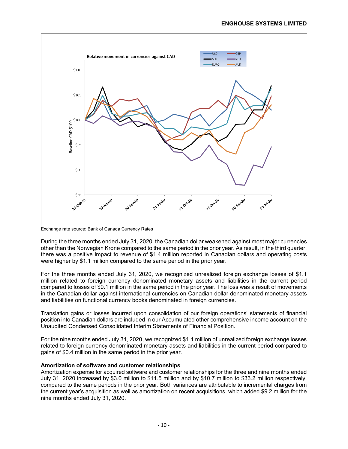

Exchange rate source: Bank of Canada Currency Rates

During the three months ended July 31, 2020, the Canadian dollar weakened against most major currencies other than the Norwegian Krone compared to the same period in the prior year. As result, in the third quarter, there was a positive impact to revenue of \$1.4 million reported in Canadian dollars and operating costs were higher by \$1.1 million compared to the same period in the prior year.

For the three months ended July 31, 2020, we recognized unrealized foreign exchange losses of \$1.1 million related to foreign currency denominated monetary assets and liabilities in the current period compared to losses of \$0.1 million in the same period in the prior year. The loss was a result of movements in the Canadian dollar against international currencies on Canadian dollar denominated monetary assets and liabilities on functional currency books denominated in foreign currencies.

Translation gains or losses incurred upon consolidation of our foreign operations' statements of financial position into Canadian dollars are included in our Accumulated other comprehensive income account on the Unaudited Condensed Consolidated Interim Statements of Financial Position.

For the nine months ended July 31, 2020, we recognized \$1.1 million of unrealized foreign exchange losses related to foreign currency denominated monetary assets and liabilities in the current period compared to gains of \$0.4 million in the same period in the prior year.

### **Amortization of software and customer relationships**

Amortization expense for acquired software and customer relationships for the three and nine months ended July 31, 2020 increased by \$3.0 million to \$11.5 million and by \$10.7 million to \$33.2 million respectively, compared to the same periods in the prior year. Both variances are attributable to incremental charges from the current year's acquisition as well as amortization on recent acquisitions, which added \$9.2 million for the nine months ended July 31, 2020.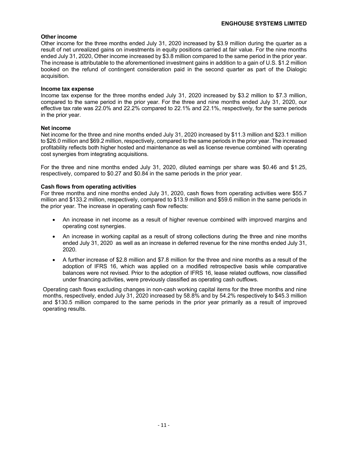### **Other income**

Other income for the three months ended July 31, 2020 increased by \$3.9 million during the quarter as a result of net unrealized gains on investments in equity positions carried at fair value. For the nine months ended July 31, 2020, Other income increased by \$3.8 million compared to the same period in the prior year. The increase is attributable to the aforementioned investment gains in addition to a gain of U.S. \$1.2 million booked on the refund of contingent consideration paid in the second quarter as part of the Dialogic acquisition.

#### **Income tax expense**

Income tax expense for the three months ended July 31, 2020 increased by \$3.2 million to \$7.3 million, compared to the same period in the prior year. For the three and nine months ended July 31, 2020, our effective tax rate was 22.0% and 22.2% compared to 22.1% and 22.1%, respectively, for the same periods in the prior year.

### **Net income**

Net income for the three and nine months ended July 31, 2020 increased by \$11.3 million and \$23.1 million to \$26.0 million and \$69.2 million, respectively, compared to the same periods in the prior year. The increased profitability reflects both higher hosted and maintenance as well as license revenue combined with operating cost synergies from integrating acquisitions.

For the three and nine months ended July 31, 2020, diluted earnings per share was \$0.46 and \$1.25, respectively, compared to \$0.27 and \$0.84 in the same periods in the prior year.

#### **Cash flows from operating activities**

For three months and nine months ended July 31, 2020, cash flows from operating activities were \$55.7 million and \$133.2 million, respectively, compared to \$13.9 million and \$59.6 million in the same periods in the prior year. The increase in operating cash flow reflects:

- An increase in net income as a result of higher revenue combined with improved margins and operating cost synergies.
- An increase in working capital as a result of strong collections during the three and nine months ended July 31, 2020 as well as an increase in deferred revenue for the nine months ended July 31, 2020.
- A further increase of \$2.8 million and \$7.8 million for the three and nine months as a result of the adoption of IFRS 16, which was applied on a modified retrospective basis while comparative balances were not revised. Prior to the adoption of IFRS 16, lease related outflows, now classified under financing activities, were previously classified as operating cash outflows.

Operating cash flows excluding changes in non-cash working capital items for the three months and nine months, respectively, ended July 31, 2020 increased by 58.8% and by 54.2% respectively to \$45.3 million and \$130.5 million compared to the same periods in the prior year primarily as a result of improved operating results.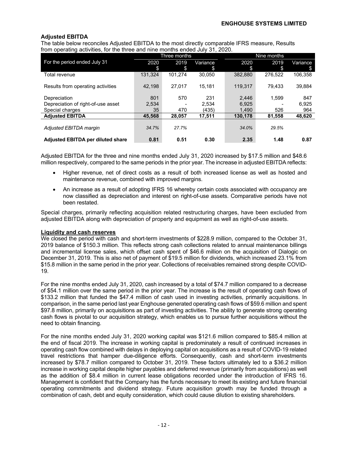### **Adjusted EBITDA**

The table below reconciles Adjusted EBITDA to the most directly comparable IFRS measure, Results from operating activities, for the three and nine months ended July 31, 2020.

|                                    |         | Three months |          |         | Nine months |          |  |
|------------------------------------|---------|--------------|----------|---------|-------------|----------|--|
| For the period ended July 31       | 2020    | 2019         | Variance | 2020    | 2019        | Variance |  |
|                                    | \$      | \$           | S        | \$      | \$          | \$       |  |
| Total revenue                      | 131.324 | 101.274      | 30.050   | 382.880 | 276.522     | 106.358  |  |
|                                    |         |              |          |         |             |          |  |
| Results from operating activities  | 42.198  | 27.017       | 15.181   | 119.317 | 79.433      | 39.884   |  |
|                                    |         |              |          |         |             |          |  |
| Depreciation                       | 801     | 570          | 231      | 2,446   | 1.599       | 847      |  |
| Depreciation of right-of-use asset | 2.534   |              | 2.534    | 6.925   |             | 6.925    |  |
| Special charges                    | 35      | 470          | (435)    | 1,490   | 526         | 964      |  |
| <b>Adjusted EBITDA</b>             | 45.568  | 28,057       | 17,511   | 130.178 | 81,558      | 48,620   |  |
|                                    |         |              |          |         |             |          |  |
| Adjusted EBITDA margin             | 34.7%   | 27.7%        |          | 34.0%   | 29.5%       |          |  |
|                                    |         |              |          |         |             |          |  |
| Adjusted EBITDA per diluted share  | 0.81    | 0.51         | 0.30     | 2.35    | 1.48        | 0.87     |  |

Adjusted EBITDA for the three and nine months ended July 31, 2020 increased by \$17.5 million and \$48.6 million respectively, compared to the same periods in the prior year. The increase in adjusted EBITDA reflects:

- Higher revenue, net of direct costs as a result of both increased license as well as hosted and maintenance revenue, combined with improved margins.
- An increase as a result of adopting IFRS 16 whereby certain costs associated with occupancy are now classified as depreciation and interest on right-of-use assets. Comparative periods have not been restated.

Special charges, primarily reflecting acquisition related restructuring charges, have been excluded from adjusted EBITDA along with depreciation of property and equipment as well as right-of-use assets.

### **Liquidity and cash reserves**

We closed the period with cash and short-term investments of \$228.9 million, compared to the October 31, 2019 balance of \$150.3 million. This reflects strong cash collections related to annual maintenance billings and incremental license sales, which offset cash spent of \$46.6 million on the acquisition of Dialogic on December 31, 2019. This is also net of payment of \$19.5 million for dividends, which increased 23.1% from \$15.8 million in the same period in the prior year. Collections of receivables remained strong despite COVID-19.

For the nine months ended July 31, 2020, cash increased by a total of \$74.7 million compared to a decrease of \$54.1 million over the same period in the prior year. The increase is the result of operating cash flows of \$133.2 million that funded the \$47.4 million of cash used in investing activities, primarily acquisitions. In comparison, in the same period last year Enghouse generated operating cash flows of \$59.6 million and spent \$97.8 million, primarily on acquisitions as part of investing activities. The ability to generate strong operating cash flows is pivotal to our acquisition strategy, which enables us to pursue further acquisitions without the need to obtain financing.

For the nine months ended July 31, 2020 working capital was \$121.6 million compared to \$85.4 million at the end of fiscal 2019. The increase in working capital is predominately a result of continued increases in operating cash flow combined with delays in deploying capital on acquisitions as a result of COVID-19 related travel restrictions that hamper due-diligence efforts. Consequently, cash and short-term investments increased by \$78.7 million compared to October 31, 2019. These factors ultimately led to a \$36.2 million increase in working capital despite higher payables and deferred revenue (primarily from acquisitions) as well as the addition of \$8.4 million in current lease obligations recorded under the introduction of IFRS 16. Management is confident that the Company has the funds necessary to meet its existing and future financial operating commitments and dividend strategy. Future acquisition growth may be funded through a combination of cash, debt and equity consideration, which could cause dilution to existing shareholders.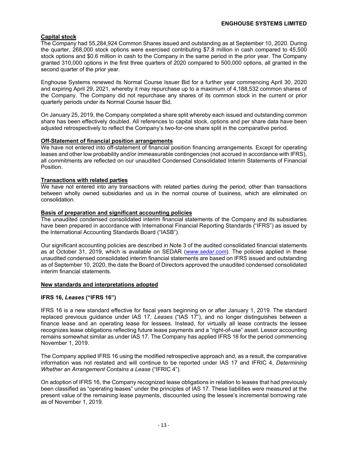### **Capital stock**

The Company had 55,284,924 Common Shares issued and outstanding as at September 10, 2020. During the quarter, 268,000 stock options were exercised contributing \$7.8 million in cash compared to 45,500 stock options and \$0.6 million in cash to the Company in the same period in the prior year. The Company granted 310,000 options in the first three quarters of 2020 compared to 500,000 options, all granted in the second quarter of the prior year.

Enghouse Systems renewed its Normal Course Issuer Bid for a further year commencing April 30, 2020 and expiring April 29, 2021, whereby it may repurchase up to a maximum of 4,188,532 common shares of the Company. The Company did not repurchase any shares of its common stock in the current or prior quarterly periods under its Normal Course Issuer Bid.

On January 25, 2019, the Company completed a share split whereby each issued and outstanding common share has been effectively doubled. All references to capital stock, options and per share data have been adjusted retrospectively to reflect the Company's two-for-one share split in the comparative period.

### **Off-Statement of financial position arrangements**

We have not entered into off-statement of financial position financing arrangements. Except for operating leases and other low probability and/or immeasurable contingencies (not accrued in accordance with IFRS), all commitments are reflected on our unaudited Condensed Consolidated Interim Statements of Financial Position.

#### **Transactions with related parties**

We have not entered into any transactions with related parties during the period, other than transactions between wholly owned subsidiaries and us in the normal course of business, which are eliminated on consolidation.

#### **Basis of preparation and significant accounting policies**

The unaudited condensed consolidated interim financial statements of the Company and its subsidiaries have been prepared in accordance with International Financial Reporting Standards ("IFRS") as issued by the International Accounting Standards Board ("IASB").

Our significant accounting policies are described in Note 3 of the audited consolidated financial statements as at October 31, 2019, which is available on SEDAR (*www.sedar.com*). The policies applied in these unaudited condensed consolidated interim financial statements are based on IFRS issued and outstanding as of September 10, 2020, the date the Board of Directors approved the unaudited condensed consolidated interim financial statements.

#### **New standards and interpretations adopted**

### **IFRS 16,** *Leases* **("IFRS 16")**

IFRS 16 is a new standard effective for fiscal years beginning on or after January 1, 2019. The standard replaced previous guidance under IAS 17*, Leases* ("IAS 17"), and no longer distinguishes between a finance lease and an operating lease for lessees. Instead, for virtually all lease contracts the lessee recognizes lease obligations reflecting future lease payments and a "right-of-use" asset. Lessor accounting remains somewhat similar as under IAS 17. The Company has applied IFRS 16 for the period commencing November 1, 2019.

The Company applied IFRS 16 using the modified retrospective approach and, as a result, the comparative information was not restated and will continue to be reported under IAS 17 and IFRIC 4, *Determining Whether an Arrangement Contains a Lease* ("IFRIC 4").

On adoption of IFRS 16, the Company recognized lease obligations in relation to leases that had previously been classified as "operating leases" under the principles of IAS 17*.* These liabilities were measured at the present value of the remaining lease payments, discounted using the lessee's incremental borrowing rate as of November 1, 2019.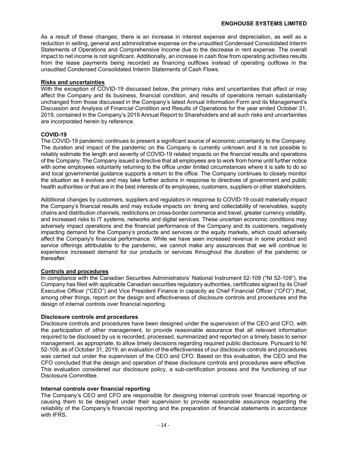As a result of these changes, there is an increase in interest expense and depreciation, as well as a reduction in selling, general and administrative expense on the unaudited Condensed Consolidated Interim Statements of Operations and Comprehensive Income due to the decrease in rent expense. The overall impact to net income is not significant. Additionally, an increase in cash flow from operating activities results from the lease payments being recorded as financing outflows instead of operating outflows in the unaudited Condensed Consolidated Interim Statements of Cash Flows.

### **Risks and uncertainties**

With the exception of COVID-19 discussed below, the primary risks and uncertainties that affect or may affect the Company and its business, financial condition, and results of operations remain substantially unchanged from those discussed in the Company's latest Annual Information Form and its Management's Discussion and Analysis of Financial Condition and Results of Operations for the year ended October 31, 2019, contained in the Company's 2019 Annual Report to Shareholders and all such risks and uncertainties are incorporated herein by reference.

### **COVID-19**

The COVID-19 pandemic continues to present a significant source of economic uncertainty to the Company. The duration and impact of the pandemic on the Company is currently unknown and it is not possible to reliably estimate the length and severity of COVID-19 related impacts on the financial results and operations of the Company. The Company issued a directive that all employees are to work from home until further notice with some employees voluntarily returning to the office under limited circumstances where it is safe to do so and local governmental guidance supports a return to the office. The Company continues to closely monitor the situation as it evolves and may take further actions in response to directives of government and public health authorities or that are in the best interests of its employees, customers, suppliers or other stakeholders.

Additional changes by customers, suppliers and regulators in response to COVID-19 could materially impact the Company's financial results and may include impacts on: timing and collectability of receivables, supply chains and distribution channels, restrictions on cross-border commerce and travel, greater currency volatility, and increased risks to IT systems, networks and digital services. These uncertain economic conditions may adversely impact operations and the financial performance of the Company and its customers, negatively impacting demand for the Company's products and services or the equity markets, which could adversely affect the Company's financial performance. While we have seen increased revenue in some product and service offerings attributable to the pandemic, we cannot make any assurances that we will continue to experience increased demand for our products or services throughout the duration of the pandemic or thereafter.

### **Controls and procedures**

In compliance with the Canadian Securities Administrators' National Instrument 52-109 ("NI 52-109"), the Company has filed with applicable Canadian securities regulatory authorities, certificates signed by its Chief Executive Officer ("CEO") and Vice President Finance in capacity as Chief Financial Officer ("CFO") that, among other things, report on the design and effectiveness of disclosure controls and procedures and the design of internal controls over financial reporting.

### **Disclosure controls and procedures**

Disclosure controls and procedures have been designed under the supervision of the CEO and CFO, with the participation of other management, to provide reasonable assurance that all relevant information required to be disclosed by us is recorded, processed, summarized and reported on a timely basis to senior management, as appropriate, to allow timely decisions regarding required public disclosure. Pursuant to NI 52-109, as of October 31, 2019, an evaluation of the effectiveness of our disclosure controls and procedures was carried out under the supervision of the CEO and CFO. Based on this evaluation, the CEO and the CFO concluded that the design and operation of these disclosure controls and procedures were effective. This evaluation considered our disclosure policy, a sub-certification process and the functioning of our Disclosure Committee.

### **Internal controls over financial reporting**

The Company's CEO and CFO are responsible for designing internal controls over financial reporting or causing them to be designed under their supervision to provide reasonable assurance regarding the reliability of the Company's financial reporting and the preparation of financial statements in accordance with IFRS.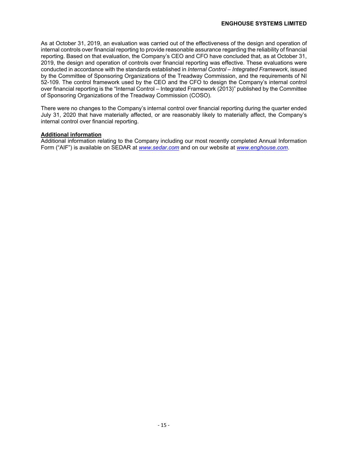As at October 31, 2019, an evaluation was carried out of the effectiveness of the design and operation of internal controls over financial reporting to provide reasonable assurance regarding the reliability of financial reporting. Based on that evaluation, the Company's CEO and CFO have concluded that, as at October 31, 2019, the design and operation of controls over financial reporting was effective. These evaluations were conducted in accordance with the standards established in *Internal Control – Integrated Framework*, issued by the Committee of Sponsoring Organizations of the Treadway Commission, and the requirements of NI 52-109. The control framework used by the CEO and the CFO to design the Company's internal control over financial reporting is the "Internal Control – Integrated Framework (2013)" published by the Committee of Sponsoring Organizations of the Treadway Commission (COSO).

There were no changes to the Company's internal control over financial reporting during the quarter ended July 31, 2020 that have materially affected, or are reasonably likely to materially affect, the Company's internal control over financial reporting.

### **Additional information**

Additional information relating to the Company including our most recently completed Annual Information Form ("AIF") is available on SEDAR at *www.sedar.com* and on our website at *www.enghouse.com*.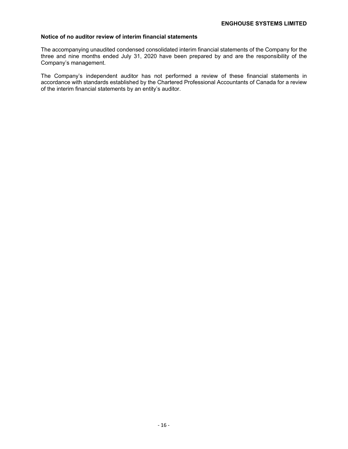### **Notice of no auditor review of interim financial statements**

The accompanying unaudited condensed consolidated interim financial statements of the Company for the three and nine months ended July 31, 2020 have been prepared by and are the responsibility of the Company's management.

The Company's independent auditor has not performed a review of these financial statements in accordance with standards established by the Chartered Professional Accountants of Canada for a review of the interim financial statements by an entity's auditor.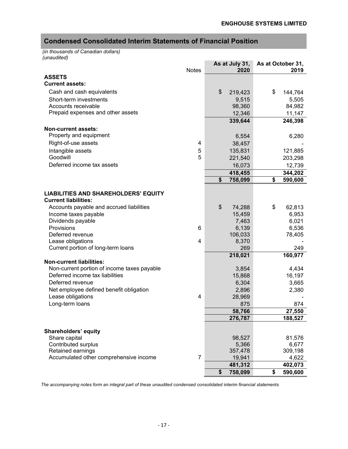# **Condensed Consolidated Interim Statements of Financial Position**

*(in thousands of Canadian dollars) (unaudited)*

|                                                                            |                | As at July 31, | As at October 31, |
|----------------------------------------------------------------------------|----------------|----------------|-------------------|
|                                                                            | <b>Notes</b>   | 2020           | 2019              |
| <b>ASSETS</b>                                                              |                |                |                   |
| <b>Current assets:</b>                                                     |                |                |                   |
| Cash and cash equivalents                                                  |                | \$<br>219,423  | \$<br>144,764     |
| Short-term investments                                                     |                | 9,515          | 5,505             |
| Accounts receivable                                                        |                | 98,360         | 84,982            |
| Prepaid expenses and other assets                                          |                | 12,346         | 11,147            |
|                                                                            |                | 339,644        | 246,398           |
|                                                                            |                |                |                   |
| <b>Non-current assets:</b>                                                 |                |                |                   |
| Property and equipment                                                     |                | 6,554          | 6,280             |
| Right-of-use assets                                                        | 4              | 38,457         |                   |
| Intangible assets                                                          | 5              | 135,831        | 121,885           |
| Goodwill                                                                   | 5              | 221,540        | 203,298           |
| Deferred income tax assets                                                 |                | 16,073         | 12,739            |
|                                                                            |                | 418,455        | 344,202           |
|                                                                            |                | \$<br>758,099  | \$<br>590,600     |
|                                                                            |                |                |                   |
| <b>LIABILITIES AND SHAREHOLDERS' EQUITY</b><br><b>Current liabilities:</b> |                |                |                   |
| Accounts payable and accrued liabilities                                   |                | \$<br>74,288   | \$<br>62,813      |
| Income taxes payable                                                       |                | 15,459         | 6,953             |
| Dividends payable                                                          |                | 7,463          | 6,021             |
| Provisions                                                                 | 6              | 6,139          | 6,536             |
| Deferred revenue                                                           |                | 106,033        | 78,405            |
| Lease obligations                                                          | 4              | 8,370          |                   |
| Current portion of long-term loans                                         |                | 269            | 249               |
|                                                                            |                | 218,021        | 160,977           |
| <b>Non-current liabilities:</b>                                            |                |                |                   |
| Non-current portion of income taxes payable                                |                | 3,854          | 4,434             |
| Deferred income tax liabilities                                            |                | 15,868         | 16,197            |
| Deferred revenue                                                           |                | 6,304          | 3,665             |
| Net employee defined benefit obligation                                    |                | 2,896          | 2,380             |
| Lease obligations                                                          | 4              |                |                   |
| Long-term loans                                                            |                | 28,969         |                   |
|                                                                            |                | 875            | 874               |
|                                                                            |                | 58,766         | 27,550            |
|                                                                            |                | 276,787        | 188,527           |
|                                                                            |                |                |                   |
| Shareholders' equity                                                       |                |                |                   |
| Share capital                                                              |                | 98,527         | 81,576            |
| Contributed surplus                                                        |                | 5,366          | 6,677             |
| Retained earnings                                                          | $\overline{7}$ | 357,478        | 309,198           |
| Accumulated other comprehensive income                                     |                | 19,941         | 4,622             |
|                                                                            |                | 481,312        | 402,073           |
|                                                                            |                | \$<br>758,099  | \$<br>590,600     |

*The accompanying notes form an integral part of these unaudited condensed consolidated interim financial statements*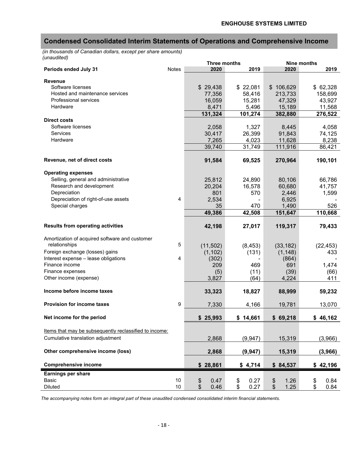### **Condensed Consolidated Interim Statements of Operations and Comprehensive Income**

*(in thousands of Canadian dollars, except per share amounts) (unaudited)*

|                                                        |                | <b>Three months</b> | Nine months      |                           |            |
|--------------------------------------------------------|----------------|---------------------|------------------|---------------------------|------------|
| Periods ended July 31                                  | <b>Notes</b>   | 2020                | 2019             | 2020                      | 2019       |
|                                                        |                |                     |                  |                           |            |
| <b>Revenue</b><br>Software licenses                    |                | \$29,438            | \$22,081         | \$106,629                 | \$62,328   |
| Hosted and maintenance services                        |                | 77,356              | 58,416           | 213,733                   | 158,699    |
| Professional services                                  |                | 16,059              | 15,281           | 47,329                    | 43,927     |
| Hardware                                               |                | 8,471               | 5,496            | 15,189                    | 11,568     |
|                                                        |                | 131,324             | 101,274          | 382,880                   | 276,522    |
| <b>Direct costs</b>                                    |                |                     |                  |                           |            |
| Software licenses                                      |                | 2,058               | 1,327            | 8,445                     | 4,058      |
| Services                                               |                | 30,417              | 26,399           | 91,843                    | 74,125     |
| Hardware                                               |                | 7,265               | 4,023            | 11,628                    | 8,238      |
|                                                        |                | 39,740              | 31,749           | 111,916                   | 86,421     |
|                                                        |                |                     |                  |                           |            |
| Revenue, net of direct costs                           |                | 91,584              | 69,525           | 270,964                   | 190,101    |
|                                                        |                |                     |                  |                           |            |
| <b>Operating expenses</b>                              |                |                     |                  |                           |            |
| Selling, general and administrative                    |                | 25,812              | 24,890           | 80,106                    | 66,786     |
| Research and development                               |                | 20,204              | 16,578           | 60,680                    | 41,757     |
| Depreciation                                           |                | 801                 | 570              | 2,446                     | 1,599      |
| Depreciation of right-of-use assets                    | $\overline{4}$ | 2,534               |                  | 6,925                     |            |
| Special charges                                        |                | 35                  | 470              | 1,490                     | 526        |
|                                                        |                | 49,386              | 42,508           | 151,647                   | 110,668    |
|                                                        |                |                     |                  |                           |            |
| <b>Results from operating activities</b>               |                | 42,198              | 27,017           | 119,317                   | 79,433     |
|                                                        |                |                     |                  |                           |            |
| Amortization of acquired software and customer         |                |                     |                  |                           |            |
| relationships                                          | 5              | (11,502)            | (8, 453)         | (33, 182)                 | (22, 453)  |
| Foreign exchange (losses) gains                        |                | (1, 102)            | (131)            | (1, 148)                  | 433        |
| Interest expense - lease obligations                   | 4              | (302)               |                  | (864)                     |            |
| Finance income                                         |                | 209                 | 469              | 691                       | 1,474      |
| Finance expenses                                       |                | (5)                 | (11)             | (39)                      | (66)       |
| Other income (expense)                                 |                | 3,827               | (64)             | 4,224                     | 411        |
|                                                        |                |                     |                  |                           |            |
| Income before income taxes                             |                | 33,323              | 18,827           | 88,999                    | 59,232     |
|                                                        |                |                     |                  |                           |            |
| <b>Provision for income taxes</b>                      | 9              | 7,330               | 4,166            | 19,781                    | 13,070     |
| Net income for the period                              |                |                     |                  |                           |            |
|                                                        |                | \$25,993            | \$14,661         | \$69,218                  | \$46,162   |
| Items that may be subsequently reclassified to income: |                |                     |                  |                           |            |
| Cumulative translation adjustment                      |                |                     |                  |                           |            |
|                                                        |                | 2,868               | (9, 947)         | 15,319                    | (3,966)    |
| Other comprehensive income (loss)                      |                | 2,868               |                  |                           |            |
|                                                        |                |                     | (9, 947)         | 15,319                    | (3,966)    |
| <b>Comprehensive income</b>                            |                | \$28,861            | \$4,714          | \$84,537                  | \$42,196   |
|                                                        |                |                     |                  |                           |            |
| <b>Earnings per share</b>                              |                |                     |                  |                           |            |
| Basic                                                  | $10$           | \$<br>0.47          | 0.27<br>\$<br>\$ | $\boldsymbol{\$}$<br>1.26 | \$<br>0.84 |
| Diluted                                                | $10$           | 0.46                | 0.27             | $\frac{1}{2}$<br>1.25     | \$<br>0.84 |

*The accompanying notes form an integral part of these unaudited condensed consolidated interim financial statements.*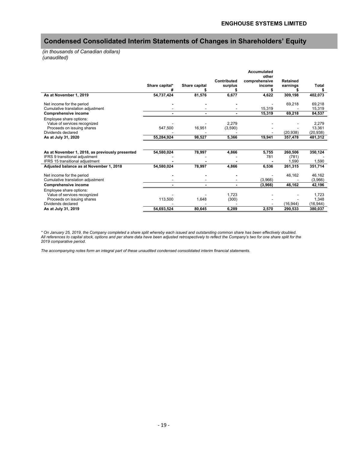# **Condensed Consolidated Interim Statements of Changes in Shareholders' Equity**

*(in thousands of Canadian dollars) (unaudited)*

|                                                 |                |               |             | <b>Accumulated</b>     |                 |           |
|-------------------------------------------------|----------------|---------------|-------------|------------------------|-----------------|-----------|
|                                                 |                |               | Contributed | other<br>comprehensive | <b>Retained</b> |           |
|                                                 | Share capital* | Share capital | surplus     | income                 | earnings        | Total     |
|                                                 |                |               |             |                        |                 |           |
| As at November 1, 2019                          | 54,737,424     | 81,576        | 6,677       | 4,622                  | 309,198         | 402,073   |
| Net income for the period                       |                |               |             |                        | 69,218          | 69,218    |
| Cumulative translation adjustment               |                |               |             | 15,319                 |                 | 15,319    |
| <b>Comprehensive income</b>                     |                |               |             | 15.319                 | 69,218          | 84,537    |
| Employee share options:                         |                |               |             |                        |                 |           |
| Value of services recognized                    |                |               | 2.279       |                        |                 | 2,279     |
| Proceeds on issuing shares                      | 547,500        | 16,951        | (3,590)     |                        |                 | 13,361    |
| Dividends declared                              |                |               |             |                        | (20, 938)       | (20, 938) |
| As at July 31, 2020                             | 55,284,924     | 98,527        | 5,366       | 19,941                 | 357,478         | 481,312   |
|                                                 |                |               |             |                        |                 |           |
| As at November 1, 2018, as previously presented | 54,580,024     | 78,997        | 4,866       | 5,755                  | 260,506         | 350,124   |
| IFRS 9 transitional adjustment                  |                |               |             | 781                    | (781)           |           |
| IFRS 15 transitional adjustment                 |                |               |             |                        | 1.590           | 1,590     |
| Adjusted balance as at November 1, 2018         | 54,580,024     | 78,997        | 4,866       | 6,536                  | 261,315         | 351,714   |
| Net income for the period                       |                |               |             |                        | 46,162          | 46,162    |
| Cumulative translation adjustment               |                |               |             | (3,966)                |                 | (3,966)   |
| <b>Comprehensive income</b>                     |                |               |             | (3,966)                | 46,162          | 42,196    |
| Employee share options:                         |                |               |             |                        |                 |           |
| Value of services recognized                    |                |               | 1.723       |                        |                 | 1.723     |
| Proceeds on issuing shares                      | 113,500        | 1,648         | (300)       |                        |                 | 1,348     |
| Dividends declared                              |                |               |             |                        | (16, 944)       | (16, 944) |
| As at July 31, 2019                             | 54,693,524     | 80,645        | 6.289       | 2,570                  | 290,533         | 380,037   |

*\* On January 25, 2019, the Company completed a share split whereby each issued and outstanding common share has been effectively doubled. All references to capital stock, options and per share data have been adjusted retrospectively to reflect the Company's two for one share split for the 2019 comparative period.*

*The accompanying notes form an integral part of these unaudited condensed consolidated interim financial statements.*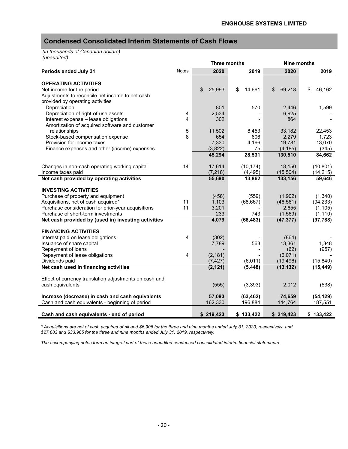# **Condensed Consolidated Interim Statements of Cash Flows**

*(in thousands of Canadian dollars) (unaudited)*

|                                                        |              | <b>Three months</b> |              | Nine months     |                 |
|--------------------------------------------------------|--------------|---------------------|--------------|-----------------|-----------------|
| Periods ended July 31                                  | <b>Notes</b> | 2020                | 2019         | 2020            | 2019            |
|                                                        |              |                     |              |                 |                 |
| <b>OPERATING ACTIVITIES</b>                            |              |                     |              |                 |                 |
| Net income for the period                              |              | 25,993<br>\$        | 14,661<br>\$ | 69,218<br>\$    | \$<br>46,162    |
| Adjustments to reconcile net income to net cash        |              |                     |              |                 |                 |
| provided by operating activities                       |              |                     |              |                 |                 |
| Depreciation                                           |              | 801                 | 570          | 2,446           | 1,599           |
| Depreciation of right-of-use assets                    | 4<br>4       | 2,534               |              | 6,925           |                 |
| Interest expense - lease obligations                   |              | 302                 |              | 864             |                 |
| Amortization of acquired software and customer         |              |                     |              |                 |                 |
| relationships<br>Stock-based compensation expense      | 5<br>8       | 11,502<br>654       | 8,453<br>606 | 33,182          | 22,453<br>1,723 |
| Provision for income taxes                             |              | 7,330               | 4,166        | 2,279<br>19,781 | 13,070          |
| Finance expenses and other (income) expenses           |              | (3,822)             | 75           | (4, 185)        | (345)           |
|                                                        |              | 45,294              | 28,531       | 130,510         | 84,662          |
|                                                        |              |                     |              |                 |                 |
| Changes in non-cash operating working capital          | 14           | 17,614              | (10, 174)    | 18,150          | (10, 801)       |
| Income taxes paid                                      |              | (7, 218)            | (4, 495)     | (15, 504)       | (14, 215)       |
| Net cash provided by operating activities              |              | 55,690              | 13,862       | 133,156         | 59,646          |
|                                                        |              |                     |              |                 |                 |
| <b>INVESTING ACTIVITIES</b>                            |              |                     |              |                 |                 |
| Purchase of property and equipment                     |              | (458)               | (559)        | (1,902)         | (1,340)         |
| Acquisitions, net of cash acquired*                    | 11           | 1,103               | (68, 667)    | (46, 561)       | (94, 233)       |
| Purchase consideration for prior-year acquisitions     | 11           | 3,201               |              | 2,655           | (1, 105)        |
| Purchase of short-term investments                     |              | 233                 | 743          | (1, 569)        | (1, 110)        |
| Net cash provided by (used in) investing activities    |              | 4,079               | (68, 483)    | (47, 377)       | (97, 788)       |
|                                                        |              |                     |              |                 |                 |
| <b>FINANCING ACTIVITIES</b>                            |              |                     |              |                 |                 |
| Interest paid on lease obligations                     | 4            | (302)               |              | (864)           |                 |
| Issuance of share capital                              |              | 7,789               | 563          | 13,361          | 1,348           |
| Repayment of loans                                     |              |                     |              | (62)            | (957)           |
| Repayment of lease obligations                         | 4            | (2, 181)            |              | (6,071)         |                 |
| Dividends paid                                         |              | (7, 427)            | (6,011)      | (19, 496)       | (15, 840)       |
| Net cash used in financing activities                  |              | (2, 121)            | (5, 448)     | (13, 132)       | (15, 449)       |
| Effect of currency translation adjustments on cash and |              |                     |              |                 |                 |
| cash equivalents                                       |              | (555)               | (3, 393)     | 2,012           | (538)           |
|                                                        |              |                     |              |                 |                 |
| Increase (decrease) in cash and cash equivalents       |              | 57,093              | (63, 462)    | 74,659          | (54, 129)       |
| Cash and cash equivalents - beginning of period        |              | 162,330             | 196,884      | 144,764         | 187,551         |
|                                                        |              |                     |              |                 |                 |
| Cash and cash equivalents - end of period              |              | \$219,423           | \$133,422    | \$219,423       | \$133,422       |

*\* Acquisitions are net of cash acquired of nil and \$6,906 for the three and nine months ended July 31, 2020, respectively, and \$27,683 and \$33,965 for the three and nine months ended July 31, 2019, respectively.* 

*The accompanying notes form an integral part of these unaudited condensed consolidated interim financial statements.*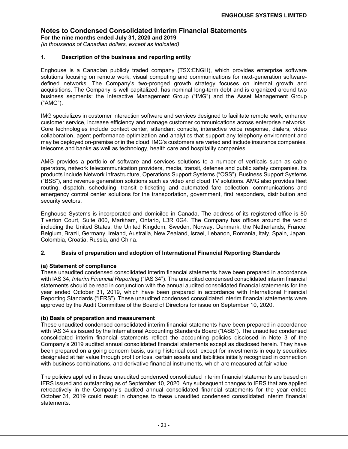**For the nine months ended July 31, 2020 and 2019** *(in thousands of Canadian dollars, except as indicated)*

### **1. Description of the business and reporting entity**

Enghouse is a Canadian publicly traded company (TSX:ENGH), which provides enterprise software solutions focusing on remote work, visual computing and communications for next-generation softwaredefined networks. The Company's two-pronged growth strategy focuses on internal growth and acquisitions. The Company is well capitalized, has nominal long-term debt and is organized around two business segments: the Interactive Management Group ("IMG") and the Asset Management Group ("AMG").

IMG specializes in customer interaction software and services designed to facilitate remote work, enhance customer service, increase efficiency and manage customer communications across enterprise networks. Core technologies include contact center, attendant console, interactive voice response, dialers, video collaboration, agent performance optimization and analytics that support any telephony environment and may be deployed on-premise or in the cloud. IMG's customers are varied and include insurance companies, telecoms and banks as well as technology, health care and hospitality companies.

AMG provides a portfolio of software and services solutions to a number of verticals such as cable operators, network telecommunication providers, media, transit, defense and public safety companies. Its products include Network infrastructure, Operations Support Systems ("OSS"), Business Support Systems ("BSS"), and revenue generation solutions such as video and cloud TV solutions. AMG also provides fleet routing, dispatch, scheduling, transit e-ticketing and automated fare collection, communications and emergency control center solutions for the transportation, government, first responders, distribution and security sectors.

Enghouse Systems is incorporated and domiciled in Canada. The address of its registered office is 80 Tiverton Court, Suite 800, Markham, Ontario, L3R 0G4. The Company has offices around the world including the United States, the United Kingdom, Sweden, Norway, Denmark, the Netherlands, France, Belgium, Brazil, Germany, Ireland, Australia, New Zealand, Israel, Lebanon, Romania, Italy, Spain, Japan, Colombia, Croatia, Russia, and China.

### **2. Basis of preparation and adoption of International Financial Reporting Standards**

### **(a) Statement of compliance**

These unaudited condensed consolidated interim financial statements have been prepared in accordance with IAS 34, *Interim Financial Reporting* ("IAS 34"). The unaudited condensed consolidated interim financial statements should be read in conjunction with the annual audited consolidated financial statements for the year ended October 31, 2019, which have been prepared in accordance with International Financial Reporting Standards ("IFRS"). These unaudited condensed consolidated interim financial statements were approved by the Audit Committee of the Board of Directors for issue on September 10, 2020.

### **(b) Basis of preparation and measurement**

These unaudited condensed consolidated interim financial statements have been prepared in accordance with IAS 34 as issued by the International Accounting Standards Board ("IASB"). The unaudited condensed consolidated interim financial statements reflect the accounting policies disclosed in Note 3 of the Company's 2019 audited annual consolidated financial statements except as disclosed herein. They have been prepared on a going concern basis, using historical cost, except for investments in equity securities designated at fair value through profit or loss, certain assets and liabilities initially recognized in connection with business combinations, and derivative financial instruments, which are measured at fair value.

The policies applied in these unaudited condensed consolidated interim financial statements are based on IFRS issued and outstanding as of September 10, 2020. Any subsequent changes to IFRS that are applied retroactively in the Company's audited annual consolidated financial statements for the year ended October 31, 2019 could result in changes to these unaudited condensed consolidated interim financial statements.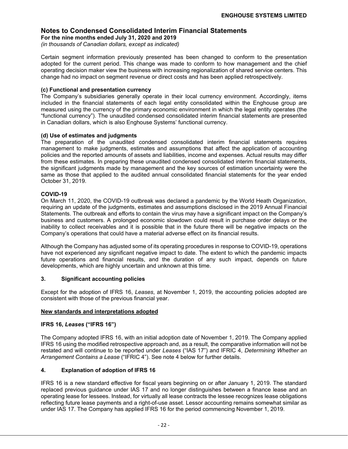**For the nine months ended July 31, 2020 and 2019** *(in thousands of Canadian dollars, except as indicated)*

Certain segment information previously presented has been changed to conform to the presentation adopted for the current period. This change was made to conform to how management and the chief operating decision maker view the business with increasing regionalization of shared service centers. This change had no impact on segment revenue or direct costs and has been applied retrospectively.

### **(c) Functional and presentation currency**

The Company's subsidiaries generally operate in their local currency environment. Accordingly, items included in the financial statements of each legal entity consolidated within the Enghouse group are measured using the currency of the primary economic environment in which the legal entity operates (the "functional currency"). The unaudited condensed consolidated interim financial statements are presented in Canadian dollars, which is also Enghouse Systems' functional currency.

### **(d) Use of estimates and judgments**

The preparation of the unaudited condensed consolidated interim financial statements requires management to make judgments, estimates and assumptions that affect the application of accounting policies and the reported amounts of assets and liabilities, income and expenses. Actual results may differ from these estimates. In preparing these unaudited condensed consolidated interim financial statements, the significant judgments made by management and the key sources of estimation uncertainty were the same as those that applied to the audited annual consolidated financial statements for the year ended October 31, 2019.

### **COVID-19**

On March 11, 2020, the COVID-19 outbreak was declared a pandemic by the World Heath Organization, requiring an update of the judgments, estimates and assumptions disclosed in the 2019 Annual Financial Statements. The outbreak and efforts to contain the virus may have a significant impact on the Company's business and customers. A prolonged economic slowdown could result in purchase order delays or the inability to collect receivables and it is possible that in the future there will be negative impacts on the Company's operations that could have a material adverse effect on its financial results.

Although the Company has adjusted some of its operating procedures in response to COVID-19, operations have not experienced any significant negative impact to date. The extent to which the pandemic impacts future operations and financial results, and the duration of any such impact, depends on future developments, which are highly uncertain and unknown at this time.

### **3. Significant accounting policies**

Except for the adoption of IFRS 16, *Leases*, at November 1, 2019, the accounting policies adopted are consistent with those of the previous financial year.

### **New standards and interpretations adopted**

### **IFRS 16,** *Leases* **("IFRS 16")**

The Company adopted IFRS 16, with an initial adoption date of November 1, 2019. The Company applied IFRS 16 using the modified retrospective approach and, as a result, the comparative information will not be restated and will continue to be reported under *Leases* ("IAS 17") and IFRIC 4, *Determining Whether an Arrangement Contains a Lease* ("IFRIC 4"). See note 4 below for further details.

### **4. Explanation of adoption of IFRS 16**

IFRS 16 is a new standard effective for fiscal years beginning on or after January 1, 2019. The standard replaced previous guidance under IAS 17 and no longer distinguishes between a finance lease and an operating lease for lessees. Instead, for virtually all lease contracts the lessee recognizes lease obligations reflecting future lease payments and a right-of-use asset. Lessor accounting remains somewhat similar as under IAS 17. The Company has applied IFRS 16 for the period commencing November 1, 2019.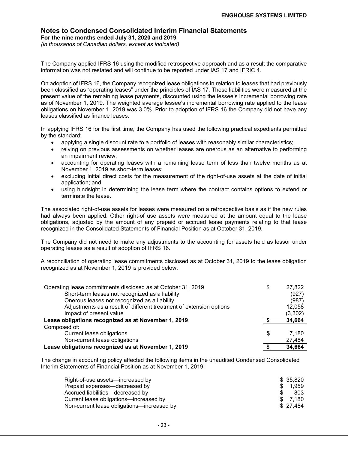### **Notes to Condensed Consolidated Interim Financial Statements For the nine months ended July 31, 2020 and 2019**

*(in thousands of Canadian dollars, except as indicated)*

The Company applied IFRS 16 using the modified retrospective approach and as a result the comparative information was not restated and will continue to be reported under IAS 17 and IFRIC 4.

On adoption of IFRS 16, the Company recognized lease obligations in relation to leases that had previously been classified as "operating leases" under the principles of IAS 17*.* These liabilities were measured at the present value of the remaining lease payments, discounted using the lessee's incremental borrowing rate as of November 1, 2019. The weighted average lessee's incremental borrowing rate applied to the lease obligations on November 1, 2019 was 3.0%. Prior to adoption of IFRS 16 the Company did not have any leases classified as finance leases.

In applying IFRS 16 for the first time, the Company has used the following practical expedients permitted by the standard:

- applying a single discount rate to a portfolio of leases with reasonably similar characteristics;
- relying on previous assessments on whether leases are onerous as an alternative to performing an impairment review;
- accounting for operating leases with a remaining lease term of less than twelve months as at November 1, 2019 as short-term leases;
- excluding initial direct costs for the measurement of the right-of-use assets at the date of initial application; and
- using hindsight in determining the lease term where the contract contains options to extend or terminate the lease.

The associated right-of-use assets for leases were measured on a retrospective basis as if the new rules had always been applied. Other right-of use assets were measured at the amount equal to the lease obligations, adjusted by the amount of any prepaid or accrued lease payments relating to that lease recognized in the Consolidated Statements of Financial Position as at October 31, 2019.

The Company did not need to make any adjustments to the accounting for assets held as lessor under operating leases as a result of adoption of IFRS 16.

A reconciliation of operating lease commitments disclosed as at October 31, 2019 to the lease obligation recognized as at November 1, 2019 is provided below:

| Operating lease commitments disclosed as at October 31, 2019        | \$<br>27,822 |
|---------------------------------------------------------------------|--------------|
| Short-term leases not recognized as a liability                     | (927)        |
| Onerous leases not recognized as a liability                        | (987)        |
| Adjustments as a result of different treatment of extension options | 12,058       |
| Impact of present value                                             | (3,302)      |
| Lease obligations recognized as at November 1, 2019                 | 34,664       |
| Composed of:                                                        |              |
| Current lease obligations                                           | \$<br>7.180  |
| Non-current lease obligations                                       | 27,484       |
| Lease obligations recognized as at November 1, 2019                 | 34,664       |

The change in accounting policy affected the following items in the unaudited Condensed Consolidated Interim Statements of Financial Position as at November 1, 2019:

| Right-of-use assets—increased by           |    | \$ 35.820 |
|--------------------------------------------|----|-----------|
| Prepaid expenses—decreased by              | S. | 1.959     |
| Accrued liabilities—decreased by           |    | 803       |
| Current lease obligations—increased by     |    | \$ 7.180  |
| Non-current lease obligations-increased by |    | \$27.484  |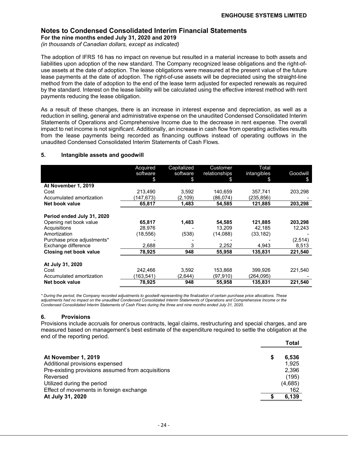**For the nine months ended July 31, 2020 and 2019**

*(in thousands of Canadian dollars, except as indicated)*

The adoption of IFRS 16 has no impact on revenue but resulted in a material increase to both assets and liabilities upon adoption of the new standard. The Company recognized lease obligations and the right-ofuse assets at the date of adoption. The lease obligations were measured at the present value of the future lease payments at the date of adoption. The right-of-use assets will be depreciated using the straight-line method from the date of adoption to the end of the lease term adjusted for expected renewals as required by the standard. Interest on the lease liability will be calculated using the effective interest method with rent payments reducing the lease obligation.

As a result of these changes, there is an increase in interest expense and depreciation, as well as a reduction in selling, general and administrative expense on the unaudited Condensed Consolidated Interim Statements of Operations and Comprehensive Income due to the decrease in rent expense. The overall impact to net income is not significant. Additionally, an increase in cash flow from operating activities results from the lease payments being recorded as financing outflows instead of operating outflows in the unaudited Condensed Consolidated Interim Statements of Cash Flows.

### **5. Intangible assets and goodwill**

|                             | Acquired  | Capitalized | Customer      | Total       |          |
|-----------------------------|-----------|-------------|---------------|-------------|----------|
|                             | software  | software    | relationships | intangibles | Goodwill |
|                             | \$        | \$          | \$            | £.          | \$       |
| At November 1, 2019         |           |             |               |             |          |
| Cost                        | 213,490   | 3,592       | 140,659       | 357,741     | 203,298  |
| Accumulated amortization    | (147,673) | (2.109)     | (86,074)      | (235,856)   |          |
| Net book value              | 65,817    | 1,483       | 54,585        | 121,885     | 203,298  |
|                             |           |             |               |             |          |
| Period ended July 31, 2020  |           |             |               |             |          |
| Opening net book value      | 65,817    | 1,483       | 54,585        | 121,885     | 203,298  |
| Acquisitions                | 28,976    |             | 13,209        | 42,185      | 12,243   |
| Amortization                | (18,556)  | (538)       | (14,088)      | (33, 182)   |          |
| Purchase price adjustments* |           |             |               |             | (2,514)  |
| Exchange difference         | 2,688     | 3           | 2,252         | 4,943       | 8,513    |
| Closing net book value      | 78,925    | 948         | 55,958        | 135,831     | 221,540  |
|                             |           |             |               |             |          |
| At July 31, 2020            |           |             |               |             |          |
| Cost                        | 242.466   | 3.592       | 153.868       | 399.926     | 221,540  |
| Accumulated amortization    | (163,541) | (2,644)     | (97,910)      | (264,095)   |          |
| Net book value              | 78,925    | 948         | 55,958        | 135,831     | 221,540  |

*\* During the period, the Company recorded adjustments to goodwill representing the finalization of certain purchase price allocations. These adjustments had no impact on the unaudited Condensed Consolidated Interim Statements of Operations and Comprehensive Income or the Condensed Consolidated Interim Statements of Cash Flows during the three and nine months ended July 31, 2020.*

### **6. Provisions**

Provisions include accruals for onerous contracts, legal claims, restructuring and special charges, and are measured based on management's best estimate of the expenditure required to settle the obligation at the end of the reporting period.

|                                                   |   | Total   |
|---------------------------------------------------|---|---------|
| At November 1, 2019                               | S | 6,536   |
| Additional provisions expensed                    |   | 1.925   |
| Pre-existing provisions assumed from acquisitions |   | 2,396   |
| Reversed                                          |   | (195)   |
| Utilized during the period                        |   | (4,685) |
| Effect of movements in foreign exchange           |   | 162     |
| At July 31, 2020                                  |   | 6,139   |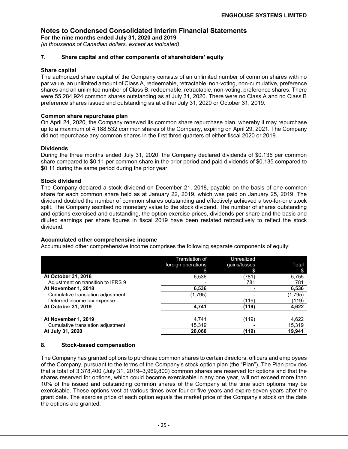**For the nine months ended July 31, 2020 and 2019**

*(in thousands of Canadian dollars, except as indicated)*

### **7. Share capital and other components of shareholders' equity**

### **Share capital**

The authorized share capital of the Company consists of an unlimited number of common shares with no par value, an unlimited amount of Class A, redeemable, retractable, non-voting, non-cumulative, preference shares and an unlimited number of Class B, redeemable, retractable, non-voting, preference shares. There were 55,284,924 common shares outstanding as at July 31, 2020. There were no Class A and no Class B preference shares issued and outstanding as at either July 31, 2020 or October 31, 2019.

### **Common share repurchase plan**

On April 24, 2020, the Company renewed its common share repurchase plan, whereby it may repurchase up to a maximum of 4,188,532 common shares of the Company, expiring on April 29, 2021. The Company did not repurchase any common shares in the first three quarters of either fiscal 2020 or 2019.

### **Dividends**

During the three months ended July 31, 2020, the Company declared dividends of \$0.135 per common share compared to \$0.11 per common share in the prior period and paid dividends of \$0.135 compared to \$0.11 during the same period during the prior year.

### **Stock dividend**

The Company declared a stock dividend on December 21, 2018, payable on the basis of one common share for each common share held as at January 22, 2019, which was paid on January 25, 2019. The dividend doubled the number of common shares outstanding and effectively achieved a two-for-one stock split. The Company ascribed no monetary value to the stock dividend. The number of shares outstanding and options exercised and outstanding, the option exercise prices, dividends per share and the basic and diluted earnings per share figures in fiscal 2019 have been restated retroactively to reflect the stock dividend.

### **Accumulated other comprehensive income**

Accumulated other comprehensive income comprises the following separate components of equity:

|                                    | Translation of<br>foreign operations | Unrealized<br>gains/losses | Total   |
|------------------------------------|--------------------------------------|----------------------------|---------|
| At October 31, 2018                | 6,536                                | (781)                      | 5,755   |
| Adjustment on transition to IFRS 9 |                                      | 781                        | 781     |
| At November 1, 2018                | 6,536                                |                            | 6,536   |
| Cumulative translation adjustment  | (1,795)                              |                            | (1,795) |
| Deferred income tax expense        |                                      | (119)                      | (119)   |
| At October 31, 2019                | 4.741                                | (119)                      | 4,622   |
|                                    |                                      |                            |         |
| At November 1, 2019                | 4.741                                | (119)                      | 4,622   |
| Cumulative translation adjustment  | 15,319                               |                            | 15,319  |
| At July 31, 2020                   | 20,060                               | (119)                      | 19.941  |

### **8. Stock-based compensation**

The Company has granted options to purchase common shares to certain directors, officers and employees of the Company, pursuant to the terms of the Company's stock option plan (the "Plan"). The Plan provides that a total of 3,378,400 (July 31, 2019–3,969,800) common shares are reserved for options and that the shares reserved for options, which could become exercisable in any one year, will not exceed more than 10% of the issued and outstanding common shares of the Company at the time such options may be exercisable. These options vest at various times over four or five years and expire seven years after the grant date. The exercise price of each option equals the market price of the Company's stock on the date the options are granted.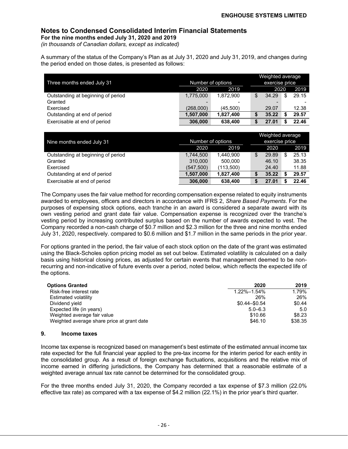### **Notes to Condensed Consolidated Interim Financial Statements For the nine months ended July 31, 2020 and 2019**

*(in thousands of Canadian dollars, except as indicated)*

A summary of the status of the Company's Plan as at July 31, 2020 and July 31, 2019, and changes during the period ended on those dates, is presented as follows:

| Three months ended July 31         | Number of options |           | Weighted average<br>exercise price |       |             |
|------------------------------------|-------------------|-----------|------------------------------------|-------|-------------|
|                                    | 2020              | 2020      |                                    | 2019  |             |
| Outstanding at beginning of period | 1,775,000         | 1.872.900 |                                    | 34.29 | \$<br>29.15 |
| Granted                            |                   |           |                                    |       |             |
| Exercised                          | (268,000)         | (45.500)  |                                    | 29.07 | 12.38       |
| Outstanding at end of period       | 1.507.000         | 1,827,400 |                                    | 35.22 | 29.57       |
| Exercisable at end of period       | 306,000           | 638,400   |                                    | 27.01 | 22.46       |

| Nine months ended July 31          | Number of options | Weighted average<br>exercise price |       |       |
|------------------------------------|-------------------|------------------------------------|-------|-------|
|                                    | 2020              | 2019                               | 2020  | 2019  |
| Outstanding at beginning of period | 1,744,500         | 1.440.900                          | 29.89 | 25.13 |
| Granted                            | 310,000           | 500,000                            | 46.10 | 38.35 |
| Exercised                          | (547, 500)        | (113.500)                          | 24.40 | 11.88 |
| Outstanding at end of period       | 1,507,000         | 1.827.400                          | 35.22 | 29.57 |
| Exercisable at end of period       | 306,000           | 638,400                            | 27.01 | 22.46 |

The Company uses the fair value method for recording compensation expense related to equity instruments awarded to employees, officers and directors in accordance with IFRS 2, *Share Based Payments*. For the purposes of expensing stock options, each tranche in an award is considered a separate award with its own vesting period and grant date fair value. Compensation expense is recognized over the tranche's vesting period by increasing contributed surplus based on the number of awards expected to vest. The Company recorded a non-cash charge of \$0.7 million and \$2.3 million for the three and nine months ended July 31, 2020, respectively. compared to \$0.6 million and \$1.7 million in the same periods in the prior year.

For options granted in the period, the fair value of each stock option on the date of the grant was estimated using the Black-Scholes option pricing model as set out below. Estimated volatility is calculated on a daily basis using historical closing prices, as adjusted for certain events that management deemed to be nonrecurring and non-indicative of future events over a period, noted below, which reflects the expected life of the options.

| <b>Options Granted</b>                     | 2020              | 2019    |
|--------------------------------------------|-------------------|---------|
| Risk-free interest rate                    | $1.22\% - 1.54\%$ | 1.79%   |
| Estimated volatility                       | 26%               | 26%     |
| Dividend yield                             | $$0.44 - $0.54$   | \$0.44  |
| Expected life (in years)                   | $5.0 - 6.3$       | 5.0     |
| Weighted average fair value                | \$10.66           | \$8.23  |
| Weighted average share price at grant date | \$46.10           | \$38.35 |

### **9. Income taxes**

Income tax expense is recognized based on management's best estimate of the estimated annual income tax rate expected for the full financial year applied to the pre-tax income for the interim period for each entity in the consolidated group. As a result of foreign exchange fluctuations, acquisitions and the relative mix of income earned in differing jurisdictions, the Company has determined that a reasonable estimate of a weighted average annual tax rate cannot be determined for the consolidated group.

For the three months ended July 31, 2020, the Company recorded a tax expense of \$7.3 million (22.0% effective tax rate) as compared with a tax expense of \$4.2 million (22.1%) in the prior year's third quarter.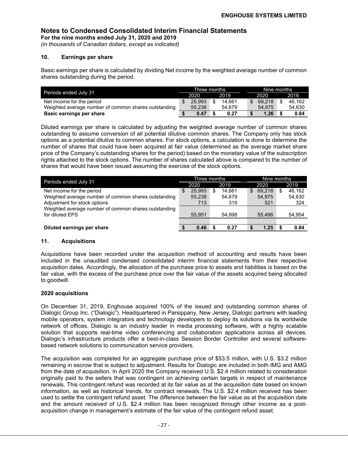**For the nine months ended July 31, 2020 and 2019** *(in thousands of Canadian dollars, except as indicated)*

# **10. Earnings per share**

Basic earnings per share is calculated by dividing Net income by the weighted average number of common shares outstanding during the period.

| Periods ended July 31                                |              | Three months |      | Nine months |  |        |  |        |
|------------------------------------------------------|--------------|--------------|------|-------------|--|--------|--|--------|
|                                                      | 2019<br>2020 |              | 2020 |             |  | 2019   |  |        |
| Net income for the period                            |              | 25.993       | \$   | 14.661      |  | 69.218 |  | 46.162 |
| Weighted average number of common shares outstanding |              | 55.238       |      | 54.679      |  | 54.975 |  | 54.630 |
| Basic earnings per share                             |              | 0.47         |      | 0.27        |  | 1.26   |  | 0.84   |

Diluted earnings per share is calculated by adjusting the weighted average number of common shares outstanding to assume conversion of all potential dilutive common shares. The Company only has stock options as a potential dilutive to common shares. For stock options, a calculation is done to determine the number of shares that could have been acquired at fair value (determined as the average market share price of the Company's outstanding shares for the period) based on the monetary value of the subscription rights attached to the stock options. The number of shares calculated above is compared to the number of shares that would have been issued assuming the exercise of the stock options.

| Periods ended July 31                                |    | Three months |    | Nine months |      |        |  |        |
|------------------------------------------------------|----|--------------|----|-------------|------|--------|--|--------|
|                                                      |    | 2020         |    | 2019        | 2020 |        |  | 2019   |
| Net income for the period                            | \$ | 25.993       | \$ | 14.661      | \$   | 69.218 |  | 46.162 |
| Weighted average number of common shares outstanding |    | 55,238       |    | 54.679      |      | 54.975 |  | 54,630 |
| Adjustment for stock options                         |    | 713          |    | 319         |      | 521    |  | 324    |
| Weighted average number of common shares outstanding |    |              |    |             |      |        |  |        |
| for diluted EPS                                      |    | 55.951       |    | 54.998      |      | 55.496 |  | 54,954 |
|                                                      |    |              |    |             |      |        |  |        |
| Diluted earnings per share                           |    | 0.46         |    | 0.27        |      | 1.25   |  | 0.84   |

### **11. Acquisitions**

Acquisitions have been recorded under the acquisition method of accounting and results have been included in the unaudited condensed consolidated interim financial statements from their respective acquisition dates. Accordingly, the allocation of the purchase price to assets and liabilities is based on the fair value, with the excess of the purchase price over the fair value of the assets acquired being allocated to goodwill.

### **2020 acquisitions**

On December 31, 2019, Enghouse acquired 100% of the issued and outstanding common shares of Dialogic Group Inc. ("Dialogic"). Headquartered in Parsippany, New Jersey, Dialogic partners with leading mobile operators, system integrators and technology developers to deploy its solutions via its worldwide network of offices. Dialogic is an industry leader in media processing software, with a highly scalable solution that supports real-time video conferencing and collaboration applications across all devices. Dialogic's infrastructure products offer a best-in-class Session Border Controller and several softwarebased network solutions to communication service providers.

The acquisition was completed for an aggregate purchase price of \$53.5 million, with U.S. \$3.2 million remaining in escrow that is subject to adjustment. Results for Dialogic are included in both IMG and AMG from the date of acquisition. In April 2020 the Company received U.S. \$2.4 million related to consideration originally paid to the sellers that was contingent on achieving certain targets in respect of maintenance renewals. This contingent refund was recorded at its fair value as at the acquisition date based on known information, as well as historical trends, for contract renewals. The U.S. \$2.4 million received has been used to settle the contingent refund asset. The difference between the fair value as at the acquisition date and the amount received of U.S. \$2.4 million has been recognized through other income as a postacquisition change in management's estimate of the fair value of the contingent refund asset.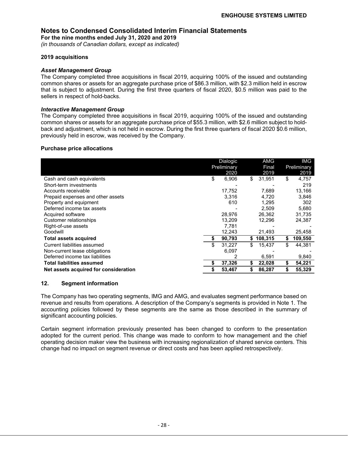**For the nine months ended July 31, 2020 and 2019**

*(in thousands of Canadian dollars, except as indicated)*

### **2019 acquisitions**

### *Asset Management Group*

The Company completed three acquisitions in fiscal 2019, acquiring 100% of the issued and outstanding common shares or assets for an aggregate purchase price of \$86.3 million, with \$2.3 million held in escrow that is subject to adjustment. During the first three quarters of fiscal 2020, \$0.5 million was paid to the sellers in respect of hold-backs.

### *Interactive Management Group*

The Company completed three acquisitions in fiscal 2019, acquiring 100% of the issued and outstanding common shares or assets for an aggregate purchase price of \$55.3 million, with \$2.6 million subject to holdback and adjustment, which is not held in escrow. During the first three quarters of fiscal 2020 \$0.6 million, previously held in escrow, was received by the Company.

### **Purchase price allocations**

|                                       | Dialogic<br>Preliminary<br>2020 |    | AMG<br>Final<br>2019 |    | IMG<br>Preliminary<br>2019 |
|---------------------------------------|---------------------------------|----|----------------------|----|----------------------------|
| Cash and cash equivalents             | \$<br>6,906                     | \$ | 31,951               | \$ | 4,757                      |
| Short-term investments                |                                 |    |                      |    | 219                        |
| Accounts receivable                   | 17,752                          |    | 7,689                |    | 13,166                     |
| Prepaid expenses and other assets     | 3,316                           |    | 4,720                |    | 3,846                      |
| Property and equipment                | 610                             |    | 1,295                |    | 302                        |
| Deferred income tax assets            |                                 |    | 2,509                |    | 5,680                      |
| Acquired software                     | 28,976                          |    | 26,362               |    | 31,735                     |
| Customer relationships                | 13,209                          |    | 12,296               |    | 24,387                     |
| Right-of-use assets                   | 7,781                           |    |                      |    |                            |
| Goodwill                              | 12,243                          |    | 21,493               |    | 25,458                     |
| <b>Total assets acquired</b>          | 90,793                          | \$ | 108,315              | S  | 109,550                    |
| Current liabilities assumed           | \$<br>31.227                    | \$ | 15.437               |    | 44.381                     |
| Non-current lease obligations         | 6,097                           |    |                      |    |                            |
| Deferred income tax liabilities       |                                 |    | 6,591                |    | 9,840                      |
| <b>Total liabilities assumed</b>      | 37,326                          | S  | 22,028               | S  | 54,221                     |
| Net assets acquired for consideration | 53,467                          | S  | 86.287               |    | 55,329                     |

### **12. Segment information**

The Company has two operating segments, IMG and AMG, and evaluates segment performance based on revenue and results from operations. A description of the Company's segments is provided in Note 1. The accounting policies followed by these segments are the same as those described in the summary of significant accounting policies.

Certain segment information previously presented has been changed to conform to the presentation adopted for the current period. This change was made to conform to how management and the chief operating decision maker view the business with increasing regionalization of shared service centers. This change had no impact on segment revenue or direct costs and has been applied retrospectively.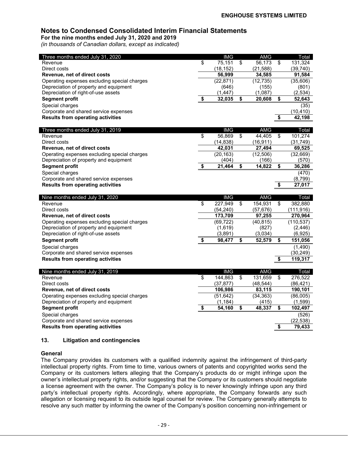**For the nine months ended July 31, 2020 and 2019** *(in thousands of Canadian dollars, except as indicated)*

| Three months ended July 31, 2020                                                       |                          | <b>IMG</b>         |                         | <b>AMG</b>         |                                      | Total             |
|----------------------------------------------------------------------------------------|--------------------------|--------------------|-------------------------|--------------------|--------------------------------------|-------------------|
| Revenue                                                                                | \$                       | 75,151             | \$                      | 56,173             | \$                                   | 131,324           |
| Direct costs                                                                           |                          | (18, 152)          |                         | (21, 588)          |                                      | (39, 740)         |
| Revenue, net of direct costs                                                           |                          | 56,999             |                         | 34,585             |                                      | 91,584            |
| Operating expenses excluding special charges<br>Depreciation of property and equipment |                          | (22, 871)<br>(646) |                         | (12, 735)<br>(155) |                                      | (35,606)<br>(801) |
| Depreciation of right-of-use assets                                                    |                          | (1, 447)           |                         | (1,087)            |                                      | (2, 534)          |
| <b>Segment profit</b>                                                                  | \$                       | 32,035             | \$                      | 20,608             | \$                                   | 52,643            |
|                                                                                        |                          |                    |                         |                    |                                      |                   |
| Special charges<br>Corporate and shared service expenses                               |                          |                    |                         |                    |                                      | (35)<br>(10, 410) |
| <b>Results from operating activities</b>                                               |                          |                    |                         |                    | \$                                   | 42,198            |
|                                                                                        |                          |                    |                         |                    |                                      |                   |
| Three months ended July 31, 2019                                                       |                          | <b>IMG</b>         |                         | <b>AMG</b>         |                                      | Total             |
| Revenue                                                                                | \$                       | 56,869             | $\overline{\mathbf{S}}$ | 44,405             | \$                                   | 101,274           |
| Direct costs                                                                           |                          | (14, 838)          |                         | (16, 911)          |                                      | (31, 749)         |
| Revenue, net of direct costs                                                           |                          | 42,031             |                         | 27,494             |                                      | 69,525            |
| Operating expenses excluding special charges                                           |                          | (20, 163)          |                         | (12, 506)          |                                      | (32, 669)         |
| Depreciation of property and equipment                                                 |                          | (404)              |                         | (166)              |                                      | (570)             |
| <b>Segment profit</b>                                                                  | \$                       | 21,464             | \$                      | 14,822             | $\overline{\mathbf{s}}$              | 36,286            |
| Special charges                                                                        |                          |                    |                         |                    |                                      | (470)             |
| Corporate and shared service expenses                                                  |                          |                    |                         |                    |                                      | (8,799)           |
| <b>Results from operating activities</b>                                               |                          |                    |                         |                    | $\overline{\boldsymbol{\mathsf{s}}}$ | 27,017            |
|                                                                                        |                          |                    |                         |                    |                                      |                   |
|                                                                                        |                          |                    |                         |                    |                                      |                   |
| Nine months ended July 31, 2020                                                        |                          | <b>IMG</b>         |                         | AMG                |                                      | Total             |
| Revenue                                                                                | \$                       | 227,949            | \$                      | 154,931            | $\overline{\$}$                      | 382,880           |
| Direct costs                                                                           |                          | (54, 240)          |                         | (57, 676)          |                                      | (111, 916)        |
| Revenue, net of direct costs                                                           |                          | 173,709            |                         | 97,255             |                                      | 270,964           |
| Operating expenses excluding special charges                                           |                          | (69, 722)          |                         | (40, 815)          |                                      | (110, 537)        |
| Depreciation of property and equipment                                                 |                          | (1,619)            |                         | (827)              |                                      | (2, 446)          |
| Depreciation of right-of-use assets                                                    |                          | (3,891)            |                         | (3,034)            |                                      | (6, 925)          |
| <b>Segment profit</b>                                                                  | \$                       | 98,477             | \$                      | 52,579             | \$                                   | 151,056           |
| Special charges                                                                        |                          |                    |                         |                    |                                      | (1,490)           |
| Corporate and shared service expenses                                                  |                          |                    |                         |                    |                                      | (30, 249)         |
| <b>Results from operating activities</b>                                               |                          |                    |                         |                    | \$                                   | 119,317           |
|                                                                                        |                          |                    |                         |                    |                                      |                   |
| Nine months ended July 31, 2019                                                        |                          | <b>IMG</b>         |                         | <b>AMG</b>         |                                      | Total             |
| Revenue                                                                                | $\overline{\mathcal{S}}$ | 144,863            | \$                      | 131,659            | \$                                   | 276,522           |
| Direct costs                                                                           |                          | (37, 877)          |                         | (48, 544)          |                                      | (86, 421)         |
| Revenue, net of direct costs                                                           |                          | 106,986            |                         | 83,115             |                                      | 190,101           |
| Operating expenses excluding special charges                                           |                          | (51, 642)          |                         | (34, 363)          |                                      | (86,005)          |
| Depreciation of property and equipment                                                 |                          | (1, 184)           |                         | (415)              |                                      | (1,599)           |
| <b>Segment profit</b>                                                                  | \$                       | 54,160             | \$                      | 48,337             | \$                                   | 102,497           |
| Special charges                                                                        |                          |                    |                         |                    |                                      | (526)             |
| Corporate and shared service expenses                                                  |                          |                    |                         |                    |                                      | (22, 538)         |
| <b>Results from operating activities</b>                                               |                          |                    |                         |                    | \$                                   | 79,433            |

### **13. Litigation and contingencies**

### **General**

The Company provides its customers with a qualified indemnity against the infringement of third-party intellectual property rights. From time to time, various owners of patents and copyrighted works send the Company or its customers letters alleging that the Company's products do or might infringe upon the owner's intellectual property rights, and/or suggesting that the Company or its customers should negotiate a license agreement with the owner. The Company's policy is to never knowingly infringe upon any third party's intellectual property rights. Accordingly, where appropriate, the Company forwards any such allegation or licensing request to its outside legal counsel for review. The Company generally attempts to resolve any such matter by informing the owner of the Company's position concerning non-infringement or